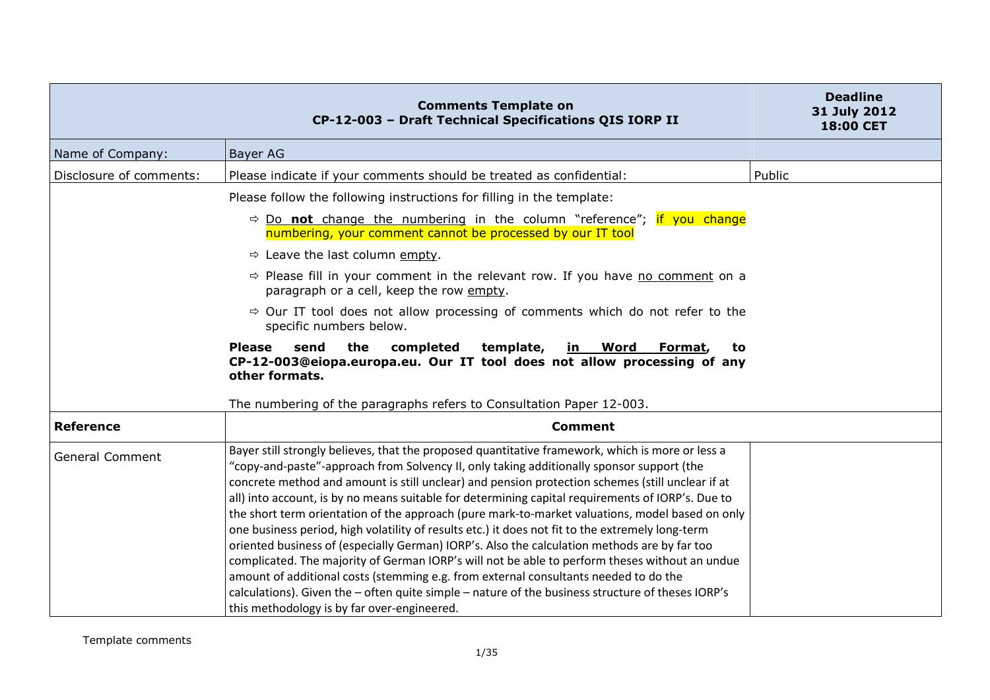|                         | <b>Comments Template on</b><br>CP-12-003 - Draft Technical Specifications QIS IORP II                                                                                                                                                                                                                                                                                                                                                                                                                                                                                                                                                                                                                                                                                                                                                                                                                                                                                                                                                                       | <b>Deadline</b><br>31 July 2012<br>18:00 CET |
|-------------------------|-------------------------------------------------------------------------------------------------------------------------------------------------------------------------------------------------------------------------------------------------------------------------------------------------------------------------------------------------------------------------------------------------------------------------------------------------------------------------------------------------------------------------------------------------------------------------------------------------------------------------------------------------------------------------------------------------------------------------------------------------------------------------------------------------------------------------------------------------------------------------------------------------------------------------------------------------------------------------------------------------------------------------------------------------------------|----------------------------------------------|
| Name of Company:        | Bayer AG                                                                                                                                                                                                                                                                                                                                                                                                                                                                                                                                                                                                                                                                                                                                                                                                                                                                                                                                                                                                                                                    |                                              |
| Disclosure of comments: | Please indicate if your comments should be treated as confidential:                                                                                                                                                                                                                                                                                                                                                                                                                                                                                                                                                                                                                                                                                                                                                                                                                                                                                                                                                                                         | Public                                       |
|                         | Please follow the following instructions for filling in the template:                                                                                                                                                                                                                                                                                                                                                                                                                                                                                                                                                                                                                                                                                                                                                                                                                                                                                                                                                                                       |                                              |
|                         | $\Rightarrow$ Do not change the numbering in the column "reference"; if you change<br>numbering, your comment cannot be processed by our IT tool                                                                                                                                                                                                                                                                                                                                                                                                                                                                                                                                                                                                                                                                                                                                                                                                                                                                                                            |                                              |
|                         | $\Rightarrow$ Leave the last column empty.                                                                                                                                                                                                                                                                                                                                                                                                                                                                                                                                                                                                                                                                                                                                                                                                                                                                                                                                                                                                                  |                                              |
|                         | $\Rightarrow$ Please fill in your comment in the relevant row. If you have no comment on a<br>paragraph or a cell, keep the row empty.                                                                                                                                                                                                                                                                                                                                                                                                                                                                                                                                                                                                                                                                                                                                                                                                                                                                                                                      |                                              |
|                         | $\Rightarrow$ Our IT tool does not allow processing of comments which do not refer to the<br>specific numbers below.                                                                                                                                                                                                                                                                                                                                                                                                                                                                                                                                                                                                                                                                                                                                                                                                                                                                                                                                        |                                              |
|                         | <b>Please</b><br>send<br>the<br>completed<br>template,<br><u>in Word</u><br>Format,<br>to<br>CP-12-003@eiopa.europa.eu. Our IT tool does not allow processing of any<br>other formats.                                                                                                                                                                                                                                                                                                                                                                                                                                                                                                                                                                                                                                                                                                                                                                                                                                                                      |                                              |
|                         | The numbering of the paragraphs refers to Consultation Paper 12-003.                                                                                                                                                                                                                                                                                                                                                                                                                                                                                                                                                                                                                                                                                                                                                                                                                                                                                                                                                                                        |                                              |
| <b>Reference</b>        | <b>Comment</b>                                                                                                                                                                                                                                                                                                                                                                                                                                                                                                                                                                                                                                                                                                                                                                                                                                                                                                                                                                                                                                              |                                              |
| <b>General Comment</b>  | Bayer still strongly believes, that the proposed quantitative framework, which is more or less a<br>"copy-and-paste"-approach from Solvency II, only taking additionally sponsor support (the<br>concrete method and amount is still unclear) and pension protection schemes (still unclear if at<br>all) into account, is by no means suitable for determining capital requirements of IORP's. Due to<br>the short term orientation of the approach (pure mark-to-market valuations, model based on only<br>one business period, high volatility of results etc.) it does not fit to the extremely long-term<br>oriented business of (especially German) IORP's. Also the calculation methods are by far too<br>complicated. The majority of German IORP's will not be able to perform theses without an undue<br>amount of additional costs (stemming e.g. from external consultants needed to do the<br>calculations). Given the - often quite simple - nature of the business structure of theses IORP's<br>this methodology is by far over-engineered. |                                              |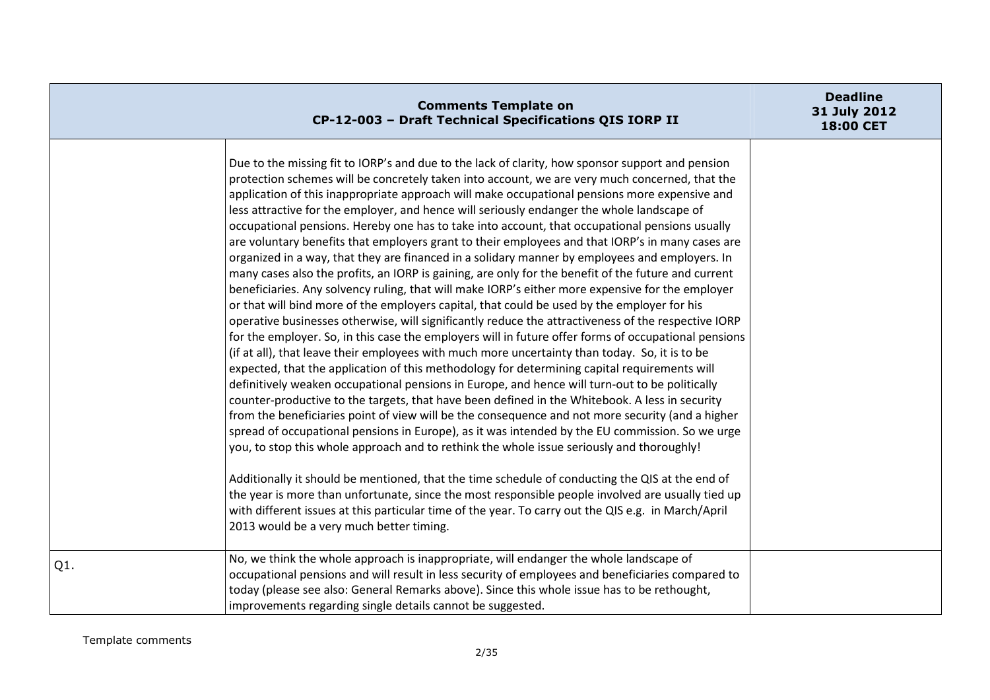|     | <b>Comments Template on</b><br>CP-12-003 - Draft Technical Specifications QIS IORP II                                                                                                                                                                                                                                                                                                                                                                                                                                                                                                                                                                                                                                                                                                                                                                                                                                                                                                                                                                                                                                                                                                                                                                                                                                                                                                                                                                                                                                                                                                                                                                                                                                                                                                                                                                                                                                                                                                                                                                                                                                                                                                                                                                                                                   | <b>Deadline</b><br>31 July 2012<br>18:00 CET |
|-----|---------------------------------------------------------------------------------------------------------------------------------------------------------------------------------------------------------------------------------------------------------------------------------------------------------------------------------------------------------------------------------------------------------------------------------------------------------------------------------------------------------------------------------------------------------------------------------------------------------------------------------------------------------------------------------------------------------------------------------------------------------------------------------------------------------------------------------------------------------------------------------------------------------------------------------------------------------------------------------------------------------------------------------------------------------------------------------------------------------------------------------------------------------------------------------------------------------------------------------------------------------------------------------------------------------------------------------------------------------------------------------------------------------------------------------------------------------------------------------------------------------------------------------------------------------------------------------------------------------------------------------------------------------------------------------------------------------------------------------------------------------------------------------------------------------------------------------------------------------------------------------------------------------------------------------------------------------------------------------------------------------------------------------------------------------------------------------------------------------------------------------------------------------------------------------------------------------------------------------------------------------------------------------------------------------|----------------------------------------------|
|     | Due to the missing fit to IORP's and due to the lack of clarity, how sponsor support and pension<br>protection schemes will be concretely taken into account, we are very much concerned, that the<br>application of this inappropriate approach will make occupational pensions more expensive and<br>less attractive for the employer, and hence will seriously endanger the whole landscape of<br>occupational pensions. Hereby one has to take into account, that occupational pensions usually<br>are voluntary benefits that employers grant to their employees and that IORP's in many cases are<br>organized in a way, that they are financed in a solidary manner by employees and employers. In<br>many cases also the profits, an IORP is gaining, are only for the benefit of the future and current<br>beneficiaries. Any solvency ruling, that will make IORP's either more expensive for the employer<br>or that will bind more of the employers capital, that could be used by the employer for his<br>operative businesses otherwise, will significantly reduce the attractiveness of the respective IORP<br>for the employer. So, in this case the employers will in future offer forms of occupational pensions<br>(if at all), that leave their employees with much more uncertainty than today. So, it is to be<br>expected, that the application of this methodology for determining capital requirements will<br>definitively weaken occupational pensions in Europe, and hence will turn-out to be politically<br>counter-productive to the targets, that have been defined in the Whitebook. A less in security<br>from the beneficiaries point of view will be the consequence and not more security (and a higher<br>spread of occupational pensions in Europe), as it was intended by the EU commission. So we urge<br>you, to stop this whole approach and to rethink the whole issue seriously and thoroughly!<br>Additionally it should be mentioned, that the time schedule of conducting the QIS at the end of<br>the year is more than unfortunate, since the most responsible people involved are usually tied up<br>with different issues at this particular time of the year. To carry out the QIS e.g. in March/April<br>2013 would be a very much better timing. |                                              |
| Q1. | No, we think the whole approach is inappropriate, will endanger the whole landscape of<br>occupational pensions and will result in less security of employees and beneficiaries compared to<br>today (please see also: General Remarks above). Since this whole issue has to be rethought,<br>improvements regarding single details cannot be suggested.                                                                                                                                                                                                                                                                                                                                                                                                                                                                                                                                                                                                                                                                                                                                                                                                                                                                                                                                                                                                                                                                                                                                                                                                                                                                                                                                                                                                                                                                                                                                                                                                                                                                                                                                                                                                                                                                                                                                                |                                              |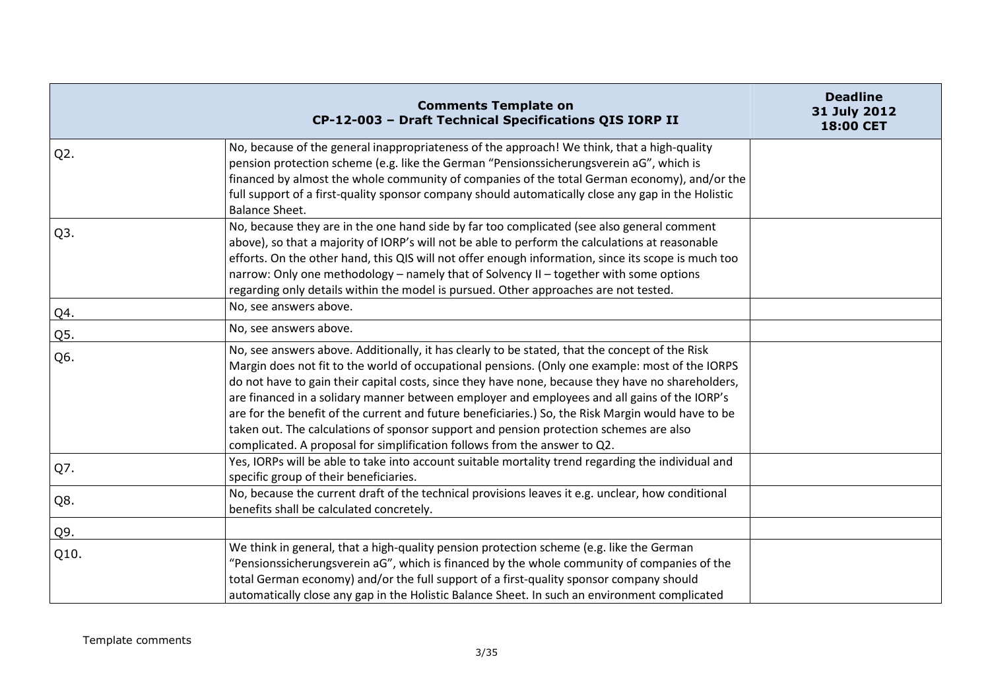|                  | <b>Comments Template on</b><br>CP-12-003 - Draft Technical Specifications QIS IORP II                                                                                                                                                                                                                                                                                                                                                                                                                                                                                                                                                                                               | <b>Deadline</b><br>31 July 2012<br>18:00 CET |
|------------------|-------------------------------------------------------------------------------------------------------------------------------------------------------------------------------------------------------------------------------------------------------------------------------------------------------------------------------------------------------------------------------------------------------------------------------------------------------------------------------------------------------------------------------------------------------------------------------------------------------------------------------------------------------------------------------------|----------------------------------------------|
| $Q2$ .           | No, because of the general inappropriateness of the approach! We think, that a high-quality<br>pension protection scheme (e.g. like the German "Pensionssicherungsverein aG", which is<br>financed by almost the whole community of companies of the total German economy), and/or the<br>full support of a first-quality sponsor company should automatically close any gap in the Holistic<br><b>Balance Sheet.</b>                                                                                                                                                                                                                                                               |                                              |
| Q <sub>3</sub> . | No, because they are in the one hand side by far too complicated (see also general comment<br>above), so that a majority of IORP's will not be able to perform the calculations at reasonable<br>efforts. On the other hand, this QIS will not offer enough information, since its scope is much too<br>narrow: Only one methodology - namely that of Solvency II - together with some options<br>regarding only details within the model is pursued. Other approaches are not tested.                                                                                                                                                                                              |                                              |
| Q4.              | No, see answers above.                                                                                                                                                                                                                                                                                                                                                                                                                                                                                                                                                                                                                                                              |                                              |
| Q5.              | No, see answers above.                                                                                                                                                                                                                                                                                                                                                                                                                                                                                                                                                                                                                                                              |                                              |
| Q6.              | No, see answers above. Additionally, it has clearly to be stated, that the concept of the Risk<br>Margin does not fit to the world of occupational pensions. (Only one example: most of the IORPS<br>do not have to gain their capital costs, since they have none, because they have no shareholders,<br>are financed in a solidary manner between employer and employees and all gains of the IORP's<br>are for the benefit of the current and future beneficiaries.) So, the Risk Margin would have to be<br>taken out. The calculations of sponsor support and pension protection schemes are also<br>complicated. A proposal for simplification follows from the answer to Q2. |                                              |
| Q7.              | Yes, IORPs will be able to take into account suitable mortality trend regarding the individual and<br>specific group of their beneficiaries.                                                                                                                                                                                                                                                                                                                                                                                                                                                                                                                                        |                                              |
| Q8.              | No, because the current draft of the technical provisions leaves it e.g. unclear, how conditional<br>benefits shall be calculated concretely.                                                                                                                                                                                                                                                                                                                                                                                                                                                                                                                                       |                                              |
| Q9.              |                                                                                                                                                                                                                                                                                                                                                                                                                                                                                                                                                                                                                                                                                     |                                              |
| Q10.             | We think in general, that a high-quality pension protection scheme (e.g. like the German<br>"Pensionssicherungsverein aG", which is financed by the whole community of companies of the<br>total German economy) and/or the full support of a first-quality sponsor company should<br>automatically close any gap in the Holistic Balance Sheet. In such an environment complicated                                                                                                                                                                                                                                                                                                 |                                              |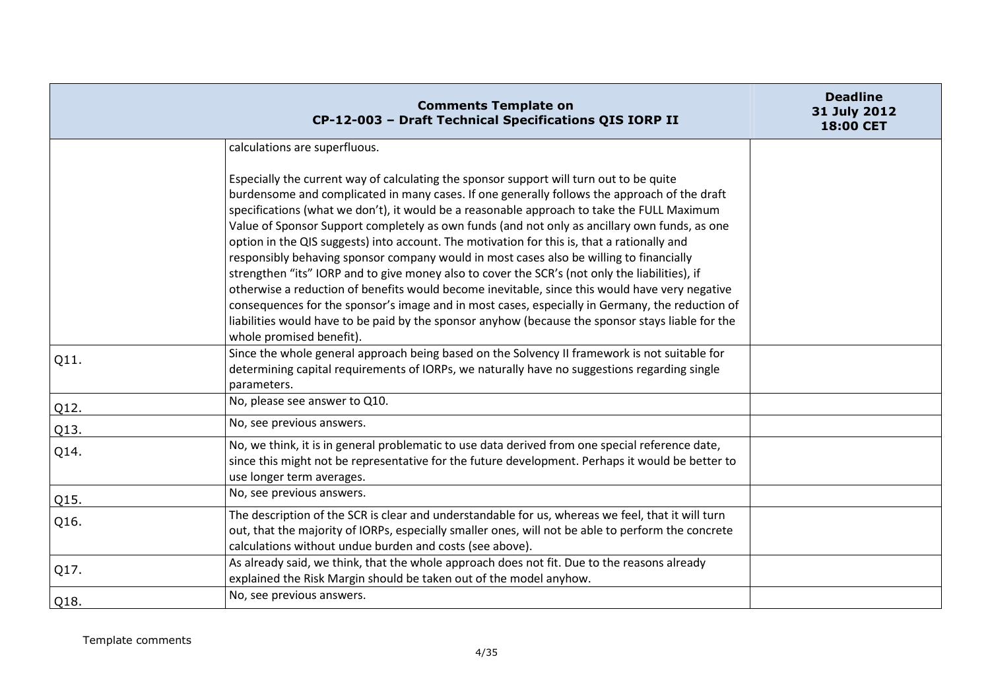|      | <b>Comments Template on</b><br>CP-12-003 - Draft Technical Specifications QIS IORP II                                                                                                                                                                                                                                                                                                                                                                                                                                                                                                                                                                                                                                                                                                                                                                                                                                                                                                                                    | <b>Deadline</b><br>31 July 2012<br>18:00 CET |
|------|--------------------------------------------------------------------------------------------------------------------------------------------------------------------------------------------------------------------------------------------------------------------------------------------------------------------------------------------------------------------------------------------------------------------------------------------------------------------------------------------------------------------------------------------------------------------------------------------------------------------------------------------------------------------------------------------------------------------------------------------------------------------------------------------------------------------------------------------------------------------------------------------------------------------------------------------------------------------------------------------------------------------------|----------------------------------------------|
|      | calculations are superfluous.                                                                                                                                                                                                                                                                                                                                                                                                                                                                                                                                                                                                                                                                                                                                                                                                                                                                                                                                                                                            |                                              |
|      | Especially the current way of calculating the sponsor support will turn out to be quite<br>burdensome and complicated in many cases. If one generally follows the approach of the draft<br>specifications (what we don't), it would be a reasonable approach to take the FULL Maximum<br>Value of Sponsor Support completely as own funds (and not only as ancillary own funds, as one<br>option in the QIS suggests) into account. The motivation for this is, that a rationally and<br>responsibly behaving sponsor company would in most cases also be willing to financially<br>strengthen "its" IORP and to give money also to cover the SCR's (not only the liabilities), if<br>otherwise a reduction of benefits would become inevitable, since this would have very negative<br>consequences for the sponsor's image and in most cases, especially in Germany, the reduction of<br>liabilities would have to be paid by the sponsor anyhow (because the sponsor stays liable for the<br>whole promised benefit). |                                              |
| Q11. | Since the whole general approach being based on the Solvency II framework is not suitable for<br>determining capital requirements of IORPs, we naturally have no suggestions regarding single<br>parameters.                                                                                                                                                                                                                                                                                                                                                                                                                                                                                                                                                                                                                                                                                                                                                                                                             |                                              |
| Q12. | No, please see answer to Q10.                                                                                                                                                                                                                                                                                                                                                                                                                                                                                                                                                                                                                                                                                                                                                                                                                                                                                                                                                                                            |                                              |
| Q13. | No, see previous answers.                                                                                                                                                                                                                                                                                                                                                                                                                                                                                                                                                                                                                                                                                                                                                                                                                                                                                                                                                                                                |                                              |
| Q14. | No, we think, it is in general problematic to use data derived from one special reference date,<br>since this might not be representative for the future development. Perhaps it would be better to<br>use longer term averages.                                                                                                                                                                                                                                                                                                                                                                                                                                                                                                                                                                                                                                                                                                                                                                                         |                                              |
| Q15. | No, see previous answers.                                                                                                                                                                                                                                                                                                                                                                                                                                                                                                                                                                                                                                                                                                                                                                                                                                                                                                                                                                                                |                                              |
| Q16. | The description of the SCR is clear and understandable for us, whereas we feel, that it will turn<br>out, that the majority of IORPs, especially smaller ones, will not be able to perform the concrete<br>calculations without undue burden and costs (see above).                                                                                                                                                                                                                                                                                                                                                                                                                                                                                                                                                                                                                                                                                                                                                      |                                              |
| Q17. | As already said, we think, that the whole approach does not fit. Due to the reasons already<br>explained the Risk Margin should be taken out of the model anyhow.                                                                                                                                                                                                                                                                                                                                                                                                                                                                                                                                                                                                                                                                                                                                                                                                                                                        |                                              |
| Q18. | No, see previous answers.                                                                                                                                                                                                                                                                                                                                                                                                                                                                                                                                                                                                                                                                                                                                                                                                                                                                                                                                                                                                |                                              |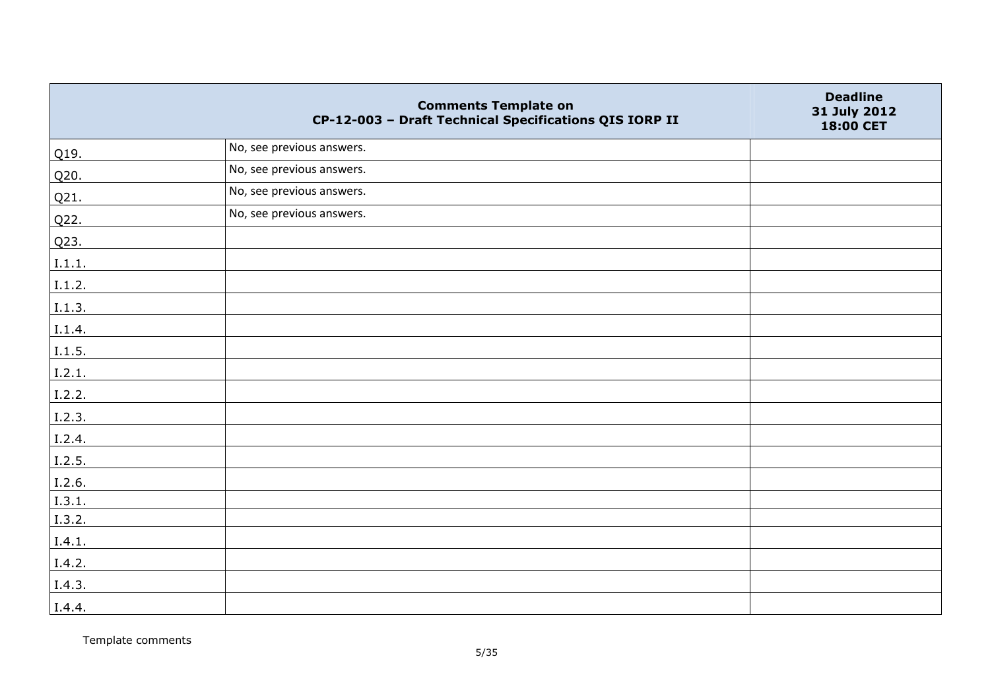|        | <b>Comments Template on</b><br>CP-12-003 - Draft Technical Specifications QIS IORP II | <b>Deadline</b><br>31 July 2012<br>18:00 CET |
|--------|---------------------------------------------------------------------------------------|----------------------------------------------|
| Q19.   | No, see previous answers.                                                             |                                              |
| Q20.   | No, see previous answers.                                                             |                                              |
| Q21.   | No, see previous answers.                                                             |                                              |
| Q22.   | No, see previous answers.                                                             |                                              |
| Q23.   |                                                                                       |                                              |
| I.1.1. |                                                                                       |                                              |
| I.1.2. |                                                                                       |                                              |
| I.1.3. |                                                                                       |                                              |
| I.1.4. |                                                                                       |                                              |
| I.1.5. |                                                                                       |                                              |
| I.2.1. |                                                                                       |                                              |
| I.2.2. |                                                                                       |                                              |
| I.2.3. |                                                                                       |                                              |
| I.2.4. |                                                                                       |                                              |
| 1.2.5. |                                                                                       |                                              |
| I.2.6. |                                                                                       |                                              |
| I.3.1. |                                                                                       |                                              |
| I.3.2. |                                                                                       |                                              |
| I.4.1. |                                                                                       |                                              |
| I.4.2. |                                                                                       |                                              |
| I.4.3. |                                                                                       |                                              |
| I.4.4. |                                                                                       |                                              |

Template comments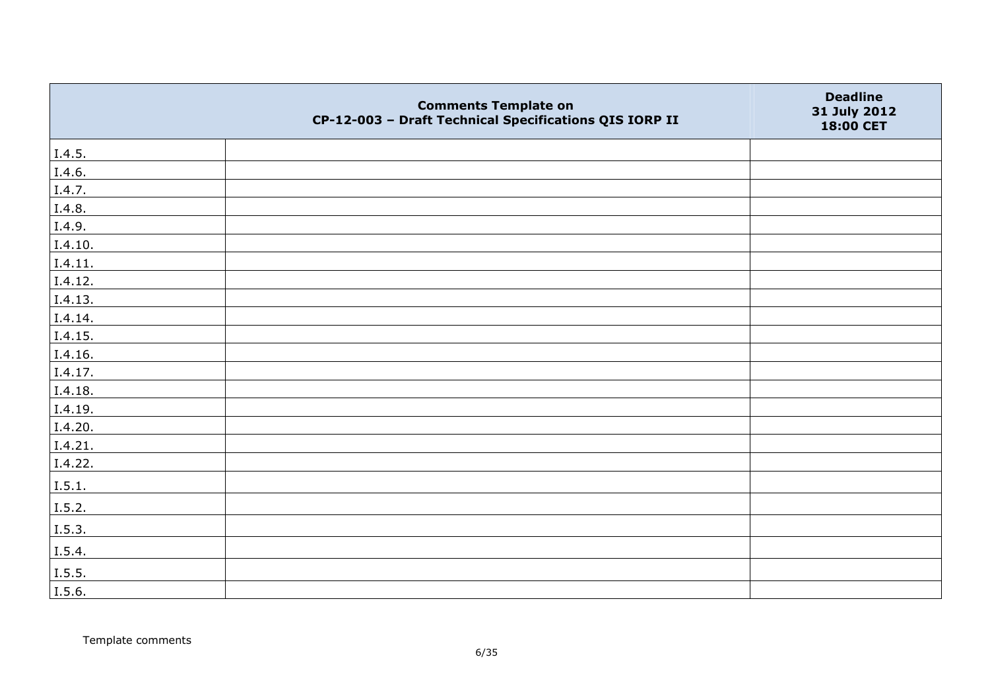|                | <b>Comments Template on</b><br>CP-12-003 - Draft Technical Specifications QIS IORP II | <b>Deadline</b><br>31 July 2012<br>18:00 CET |
|----------------|---------------------------------------------------------------------------------------|----------------------------------------------|
| I.4.5.         |                                                                                       |                                              |
| I.4.6.         |                                                                                       |                                              |
| I.4.7.         |                                                                                       |                                              |
| I.4.8.         |                                                                                       |                                              |
| I.4.9.         |                                                                                       |                                              |
| I.4.10.        |                                                                                       |                                              |
| I.4.11.        |                                                                                       |                                              |
| I.4.12.        |                                                                                       |                                              |
| I.4.13.        |                                                                                       |                                              |
| I.4.14.        |                                                                                       |                                              |
| I.4.15.        |                                                                                       |                                              |
| I.4.16.        |                                                                                       |                                              |
| I.4.17.        |                                                                                       |                                              |
| I.4.18.        |                                                                                       |                                              |
| I.4.19.        |                                                                                       |                                              |
| I.4.20.        |                                                                                       |                                              |
| I.4.21.        |                                                                                       |                                              |
| I.4.22.        |                                                                                       |                                              |
| I.5.1.         |                                                                                       |                                              |
| I.5.2.         |                                                                                       |                                              |
| $\vert$ I.5.3. |                                                                                       |                                              |
| I.5.4.         |                                                                                       |                                              |
| I.5.5.         |                                                                                       |                                              |
| I.5.6.         |                                                                                       |                                              |

Template comments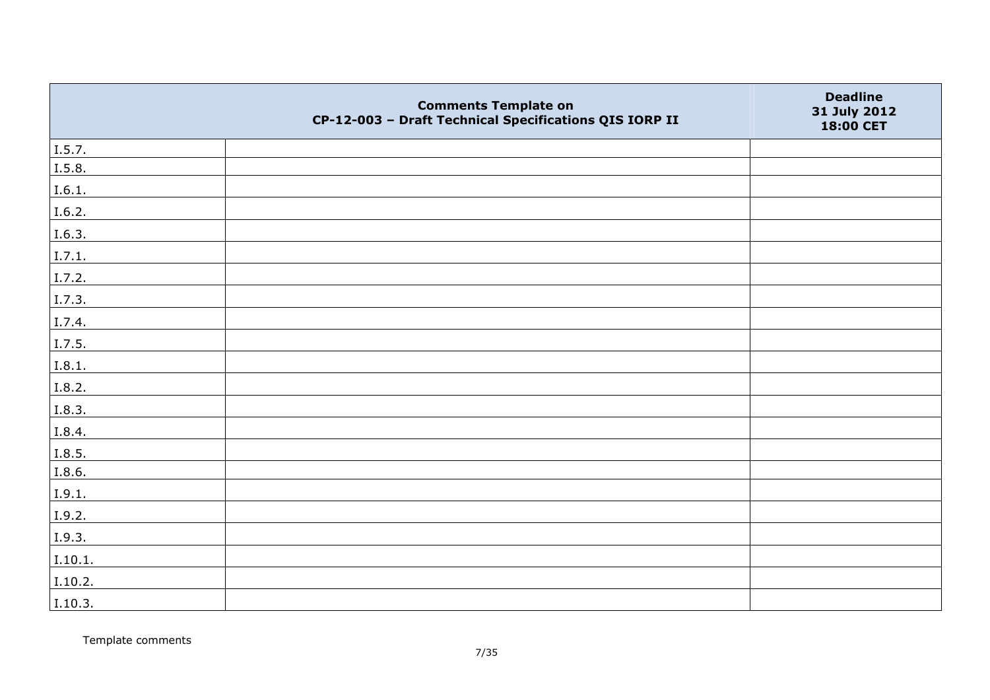|         | <b>Comments Template on</b><br>CP-12-003 - Draft Technical Specifications QIS IORP II | <b>Deadline</b><br>31 July 2012<br>18:00 CET |
|---------|---------------------------------------------------------------------------------------|----------------------------------------------|
| I.5.7.  |                                                                                       |                                              |
| I.5.8.  |                                                                                       |                                              |
| I.6.1.  |                                                                                       |                                              |
| I.6.2.  |                                                                                       |                                              |
| I.6.3.  |                                                                                       |                                              |
| I.7.1.  |                                                                                       |                                              |
| I.7.2.  |                                                                                       |                                              |
| I.7.3.  |                                                                                       |                                              |
| I.7.4.  |                                                                                       |                                              |
| I.7.5.  |                                                                                       |                                              |
| I.8.1.  |                                                                                       |                                              |
| I.8.2.  |                                                                                       |                                              |
| I.8.3.  |                                                                                       |                                              |
| I.8.4.  |                                                                                       |                                              |
| I.8.5.  |                                                                                       |                                              |
| I.8.6.  |                                                                                       |                                              |
| I.9.1.  |                                                                                       |                                              |
| I.9.2.  |                                                                                       |                                              |
| I.9.3.  |                                                                                       |                                              |
| I.10.1. |                                                                                       |                                              |
| I.10.2. |                                                                                       |                                              |
| I.10.3. |                                                                                       |                                              |

Template comments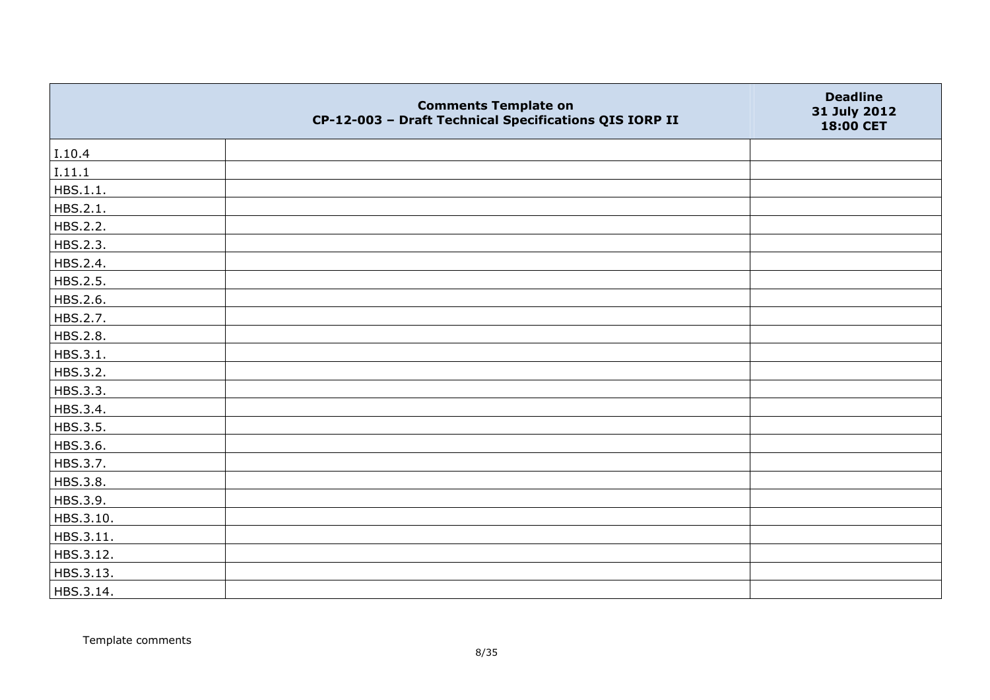|           | <b>Comments Template on</b><br>CP-12-003 - Draft Technical Specifications QIS IORP II | <b>Deadline</b><br>31 July 2012<br>18:00 CET |
|-----------|---------------------------------------------------------------------------------------|----------------------------------------------|
| I.10.4    |                                                                                       |                                              |
| I.11.1    |                                                                                       |                                              |
| HBS.1.1.  |                                                                                       |                                              |
| HBS.2.1.  |                                                                                       |                                              |
| HBS.2.2.  |                                                                                       |                                              |
| HBS.2.3.  |                                                                                       |                                              |
| HBS.2.4.  |                                                                                       |                                              |
| HBS.2.5.  |                                                                                       |                                              |
| HBS.2.6.  |                                                                                       |                                              |
| HBS.2.7.  |                                                                                       |                                              |
| HBS.2.8.  |                                                                                       |                                              |
| HBS.3.1.  |                                                                                       |                                              |
| HBS.3.2.  |                                                                                       |                                              |
| HBS.3.3.  |                                                                                       |                                              |
| HBS.3.4.  |                                                                                       |                                              |
| HBS.3.5.  |                                                                                       |                                              |
| HBS.3.6.  |                                                                                       |                                              |
| HBS.3.7.  |                                                                                       |                                              |
| HBS.3.8.  |                                                                                       |                                              |
| HBS.3.9.  |                                                                                       |                                              |
| HBS.3.10. |                                                                                       |                                              |
| HBS.3.11. |                                                                                       |                                              |
| HBS.3.12. |                                                                                       |                                              |
| HBS.3.13. |                                                                                       |                                              |
| HBS.3.14. |                                                                                       |                                              |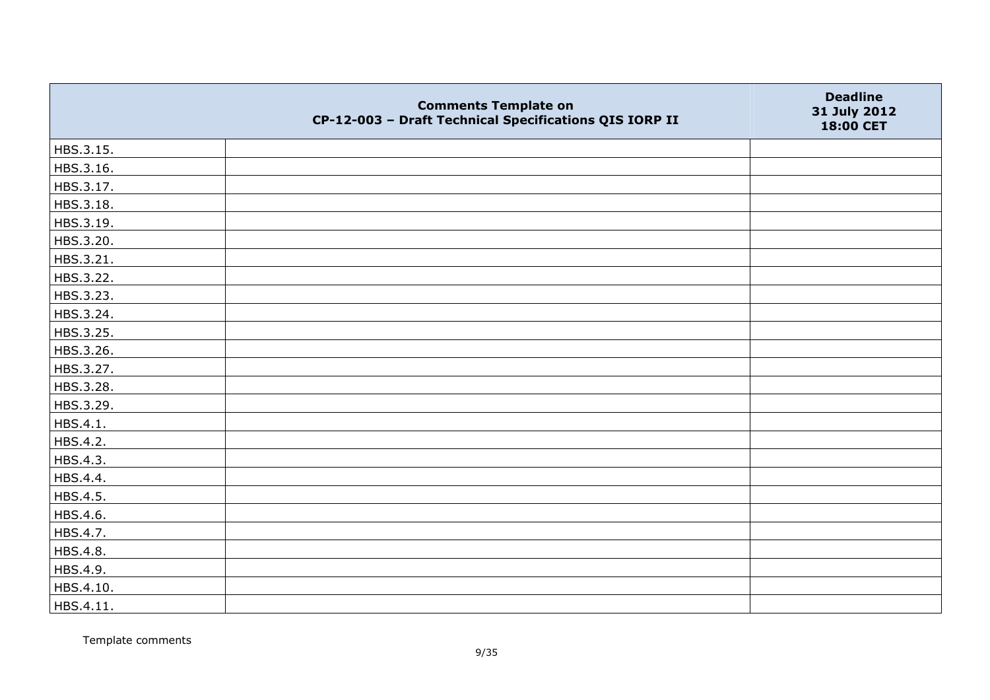|           | <b>Comments Template on</b><br>CP-12-003 - Draft Technical Specifications QIS IORP II | <b>Deadline</b><br>31 July 2012<br>18:00 CET |
|-----------|---------------------------------------------------------------------------------------|----------------------------------------------|
| HBS.3.15. |                                                                                       |                                              |
| HBS.3.16. |                                                                                       |                                              |
| HBS.3.17. |                                                                                       |                                              |
| HBS.3.18. |                                                                                       |                                              |
| HBS.3.19. |                                                                                       |                                              |
| HBS.3.20. |                                                                                       |                                              |
| HBS.3.21. |                                                                                       |                                              |
| HBS.3.22. |                                                                                       |                                              |
| HBS.3.23. |                                                                                       |                                              |
| HBS.3.24. |                                                                                       |                                              |
| HBS.3.25. |                                                                                       |                                              |
| HBS.3.26. |                                                                                       |                                              |
| HBS.3.27. |                                                                                       |                                              |
| HBS.3.28. |                                                                                       |                                              |
| HBS.3.29. |                                                                                       |                                              |
| HBS.4.1.  |                                                                                       |                                              |
| HBS.4.2.  |                                                                                       |                                              |
| HBS.4.3.  |                                                                                       |                                              |
| HBS.4.4.  |                                                                                       |                                              |
| HBS.4.5.  |                                                                                       |                                              |
| HBS.4.6.  |                                                                                       |                                              |
| HBS.4.7.  |                                                                                       |                                              |
| HBS.4.8.  |                                                                                       |                                              |
| HBS.4.9.  |                                                                                       |                                              |
| HBS.4.10. |                                                                                       |                                              |
| HBS.4.11. |                                                                                       |                                              |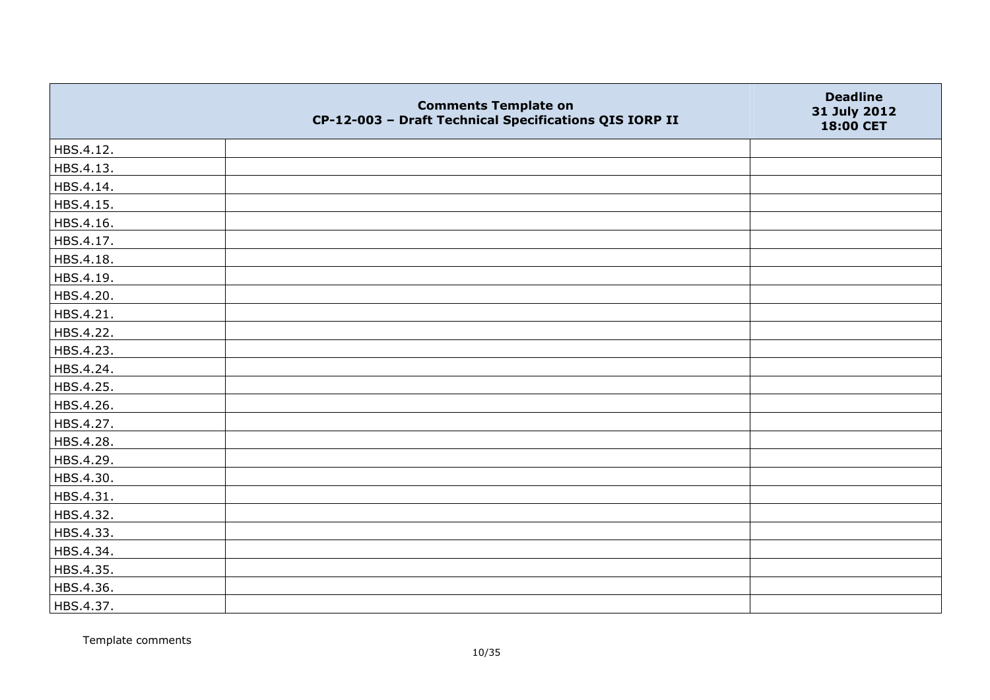|           | <b>Comments Template on</b><br>CP-12-003 - Draft Technical Specifications QIS IORP II | <b>Deadline</b><br>31 July 2012<br>18:00 CET |
|-----------|---------------------------------------------------------------------------------------|----------------------------------------------|
| HBS.4.12. |                                                                                       |                                              |
| HBS.4.13. |                                                                                       |                                              |
| HBS.4.14. |                                                                                       |                                              |
| HBS.4.15. |                                                                                       |                                              |
| HBS.4.16. |                                                                                       |                                              |
| HBS.4.17. |                                                                                       |                                              |
| HBS.4.18. |                                                                                       |                                              |
| HBS.4.19. |                                                                                       |                                              |
| HBS.4.20. |                                                                                       |                                              |
| HBS.4.21. |                                                                                       |                                              |
| HBS.4.22. |                                                                                       |                                              |
| HBS.4.23. |                                                                                       |                                              |
| HBS.4.24. |                                                                                       |                                              |
| HBS.4.25. |                                                                                       |                                              |
| HBS.4.26. |                                                                                       |                                              |
| HBS.4.27. |                                                                                       |                                              |
| HBS.4.28. |                                                                                       |                                              |
| HBS.4.29. |                                                                                       |                                              |
| HBS.4.30. |                                                                                       |                                              |
| HBS.4.31. |                                                                                       |                                              |
| HBS.4.32. |                                                                                       |                                              |
| HBS.4.33. |                                                                                       |                                              |
| HBS.4.34. |                                                                                       |                                              |
| HBS.4.35. |                                                                                       |                                              |
| HBS.4.36. |                                                                                       |                                              |
| HBS.4.37. |                                                                                       |                                              |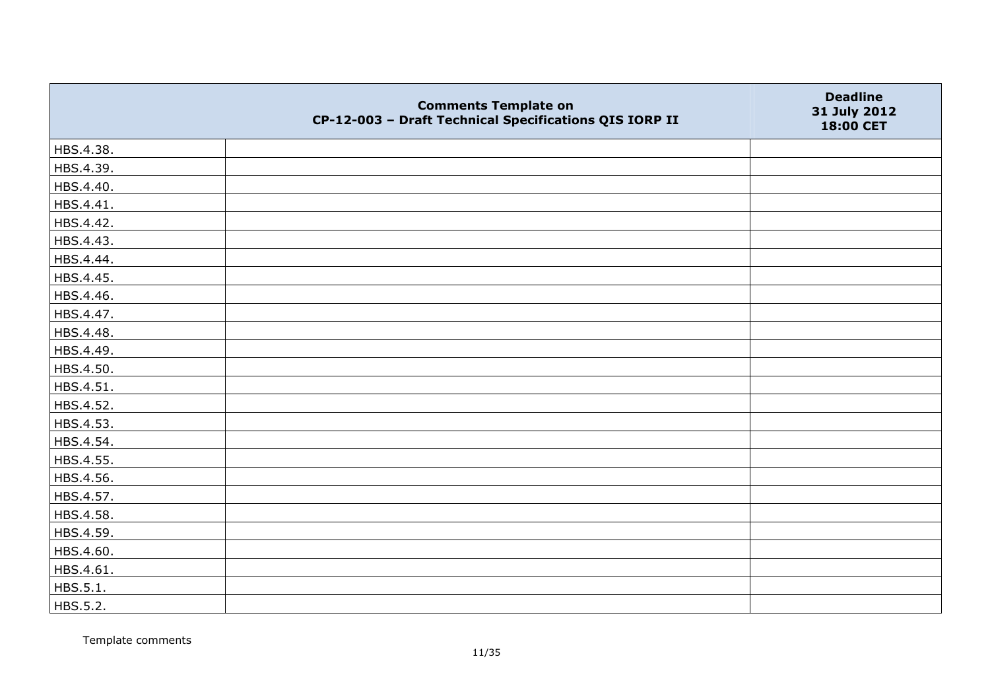|           | <b>Comments Template on</b><br>CP-12-003 - Draft Technical Specifications QIS IORP II | <b>Deadline</b><br>31 July 2012<br>18:00 CET |
|-----------|---------------------------------------------------------------------------------------|----------------------------------------------|
| HBS.4.38. |                                                                                       |                                              |
| HBS.4.39. |                                                                                       |                                              |
| HBS.4.40. |                                                                                       |                                              |
| HBS.4.41. |                                                                                       |                                              |
| HBS.4.42. |                                                                                       |                                              |
| HBS.4.43. |                                                                                       |                                              |
| HBS.4.44. |                                                                                       |                                              |
| HBS.4.45. |                                                                                       |                                              |
| HBS.4.46. |                                                                                       |                                              |
| HBS.4.47. |                                                                                       |                                              |
| HBS.4.48. |                                                                                       |                                              |
| HBS.4.49. |                                                                                       |                                              |
| HBS.4.50. |                                                                                       |                                              |
| HBS.4.51. |                                                                                       |                                              |
| HBS.4.52. |                                                                                       |                                              |
| HBS.4.53. |                                                                                       |                                              |
| HBS.4.54. |                                                                                       |                                              |
| HBS.4.55. |                                                                                       |                                              |
| HBS.4.56. |                                                                                       |                                              |
| HBS.4.57. |                                                                                       |                                              |
| HBS.4.58. |                                                                                       |                                              |
| HBS.4.59. |                                                                                       |                                              |
| HBS.4.60. |                                                                                       |                                              |
| HBS.4.61. |                                                                                       |                                              |
| HBS.5.1.  |                                                                                       |                                              |
| HBS.5.2.  |                                                                                       |                                              |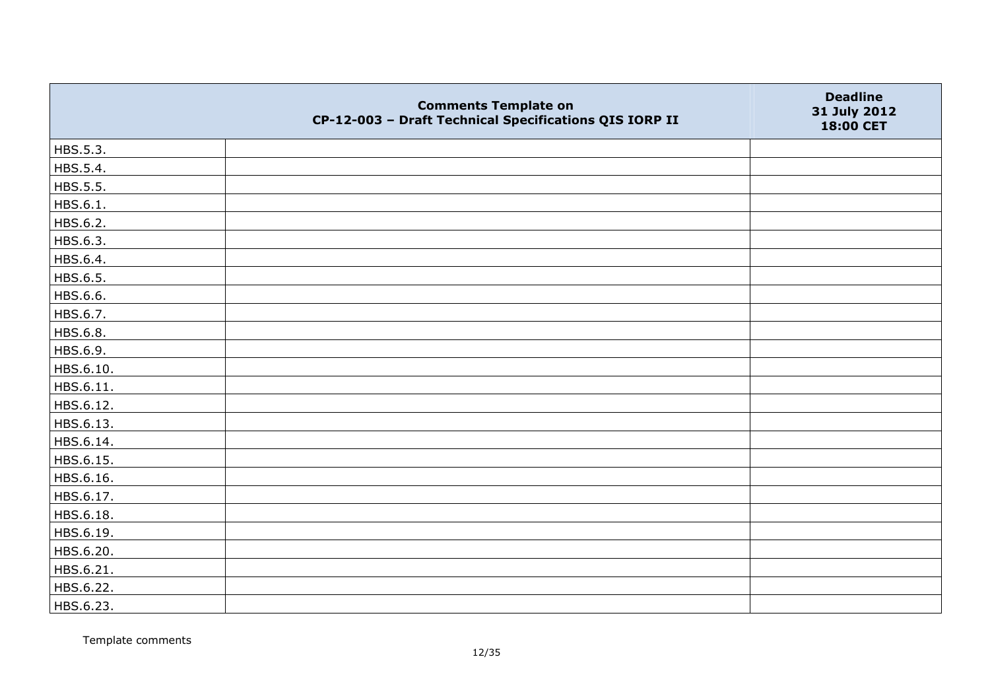|           | <b>Comments Template on</b><br>CP-12-003 - Draft Technical Specifications QIS IORP II | <b>Deadline</b><br>31 July 2012<br>18:00 CET |
|-----------|---------------------------------------------------------------------------------------|----------------------------------------------|
| HBS.5.3.  |                                                                                       |                                              |
| HBS.5.4.  |                                                                                       |                                              |
| HBS.5.5.  |                                                                                       |                                              |
| HBS.6.1.  |                                                                                       |                                              |
| HBS.6.2.  |                                                                                       |                                              |
| HBS.6.3.  |                                                                                       |                                              |
| HBS.6.4.  |                                                                                       |                                              |
| HBS.6.5.  |                                                                                       |                                              |
| HBS.6.6.  |                                                                                       |                                              |
| HBS.6.7.  |                                                                                       |                                              |
| HBS.6.8.  |                                                                                       |                                              |
| HBS.6.9.  |                                                                                       |                                              |
| HBS.6.10. |                                                                                       |                                              |
| HBS.6.11. |                                                                                       |                                              |
| HBS.6.12. |                                                                                       |                                              |
| HBS.6.13. |                                                                                       |                                              |
| HBS.6.14. |                                                                                       |                                              |
| HBS.6.15. |                                                                                       |                                              |
| HBS.6.16. |                                                                                       |                                              |
| HBS.6.17. |                                                                                       |                                              |
| HBS.6.18. |                                                                                       |                                              |
| HBS.6.19. |                                                                                       |                                              |
| HBS.6.20. |                                                                                       |                                              |
| HBS.6.21. |                                                                                       |                                              |
| HBS.6.22. |                                                                                       |                                              |
| HBS.6.23. |                                                                                       |                                              |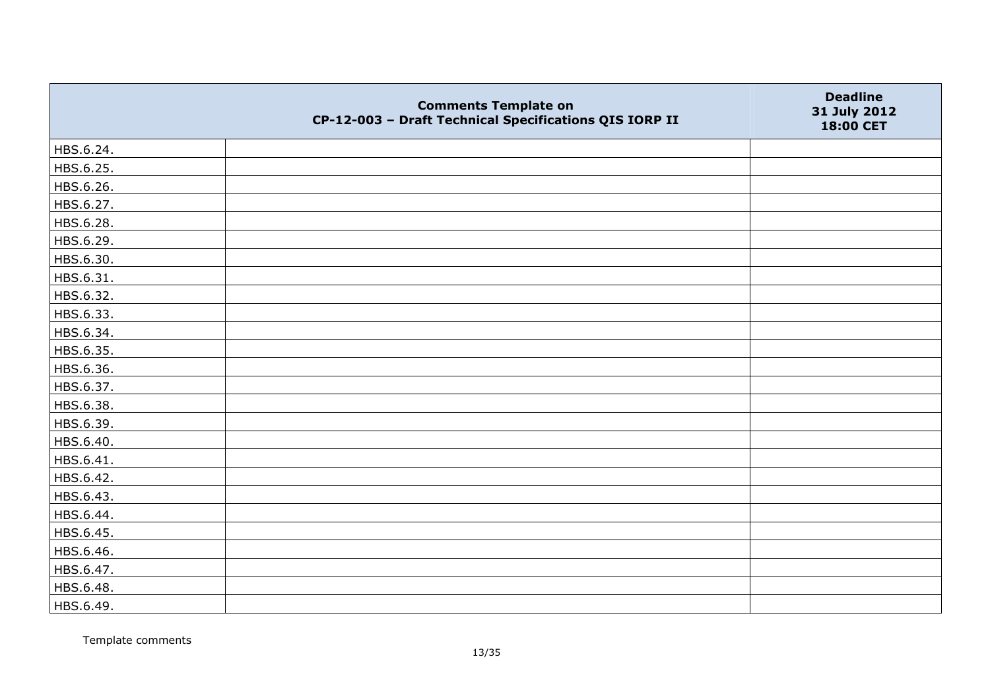|           | <b>Comments Template on</b><br>CP-12-003 - Draft Technical Specifications QIS IORP II | <b>Deadline</b><br>31 July 2012<br>18:00 CET |
|-----------|---------------------------------------------------------------------------------------|----------------------------------------------|
| HBS.6.24. |                                                                                       |                                              |
| HBS.6.25. |                                                                                       |                                              |
| HBS.6.26. |                                                                                       |                                              |
| HBS.6.27. |                                                                                       |                                              |
| HBS.6.28. |                                                                                       |                                              |
| HBS.6.29. |                                                                                       |                                              |
| HBS.6.30. |                                                                                       |                                              |
| HBS.6.31. |                                                                                       |                                              |
| HBS.6.32. |                                                                                       |                                              |
| HBS.6.33. |                                                                                       |                                              |
| HBS.6.34. |                                                                                       |                                              |
| HBS.6.35. |                                                                                       |                                              |
| HBS.6.36. |                                                                                       |                                              |
| HBS.6.37. |                                                                                       |                                              |
| HBS.6.38. |                                                                                       |                                              |
| HBS.6.39. |                                                                                       |                                              |
| HBS.6.40. |                                                                                       |                                              |
| HBS.6.41. |                                                                                       |                                              |
| HBS.6.42. |                                                                                       |                                              |
| HBS.6.43. |                                                                                       |                                              |
| HBS.6.44. |                                                                                       |                                              |
| HBS.6.45. |                                                                                       |                                              |
| HBS.6.46. |                                                                                       |                                              |
| HBS.6.47. |                                                                                       |                                              |
| HBS.6.48. |                                                                                       |                                              |
| HBS.6.49. |                                                                                       |                                              |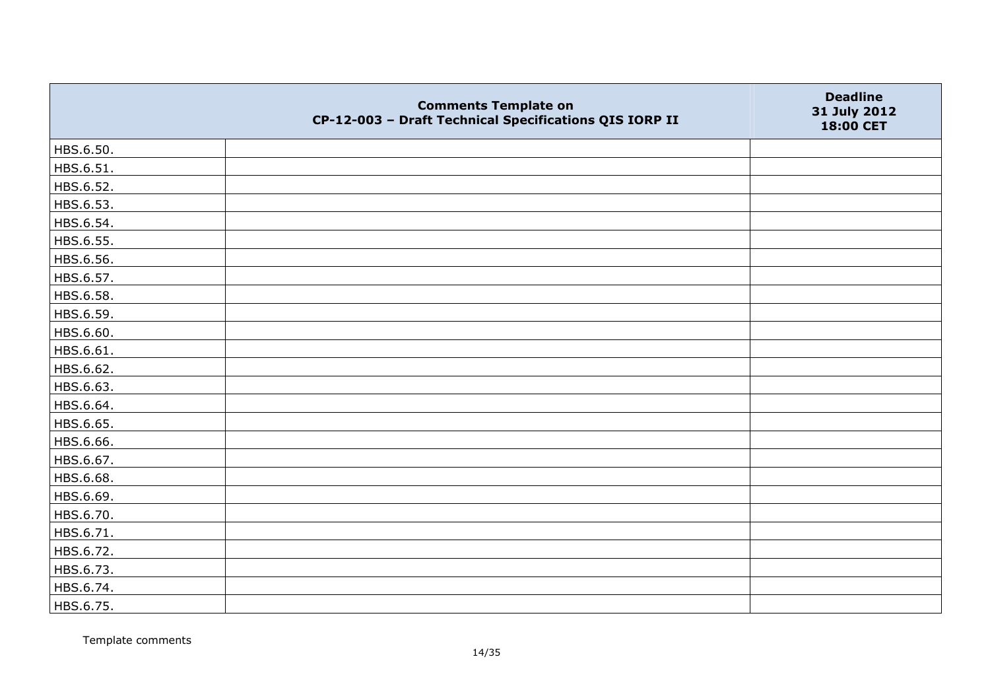|           | <b>Comments Template on</b><br>CP-12-003 - Draft Technical Specifications QIS IORP II | <b>Deadline</b><br>31 July 2012<br>18:00 CET |
|-----------|---------------------------------------------------------------------------------------|----------------------------------------------|
| HBS.6.50. |                                                                                       |                                              |
| HBS.6.51. |                                                                                       |                                              |
| HBS.6.52. |                                                                                       |                                              |
| HBS.6.53. |                                                                                       |                                              |
| HBS.6.54. |                                                                                       |                                              |
| HBS.6.55. |                                                                                       |                                              |
| HBS.6.56. |                                                                                       |                                              |
| HBS.6.57. |                                                                                       |                                              |
| HBS.6.58. |                                                                                       |                                              |
| HBS.6.59. |                                                                                       |                                              |
| HBS.6.60. |                                                                                       |                                              |
| HBS.6.61. |                                                                                       |                                              |
| HBS.6.62. |                                                                                       |                                              |
| HBS.6.63. |                                                                                       |                                              |
| HBS.6.64. |                                                                                       |                                              |
| HBS.6.65. |                                                                                       |                                              |
| HBS.6.66. |                                                                                       |                                              |
| HBS.6.67. |                                                                                       |                                              |
| HBS.6.68. |                                                                                       |                                              |
| HBS.6.69. |                                                                                       |                                              |
| HBS.6.70. |                                                                                       |                                              |
| HBS.6.71. |                                                                                       |                                              |
| HBS.6.72. |                                                                                       |                                              |
| HBS.6.73. |                                                                                       |                                              |
| HBS.6.74. |                                                                                       |                                              |
| HBS.6.75. |                                                                                       |                                              |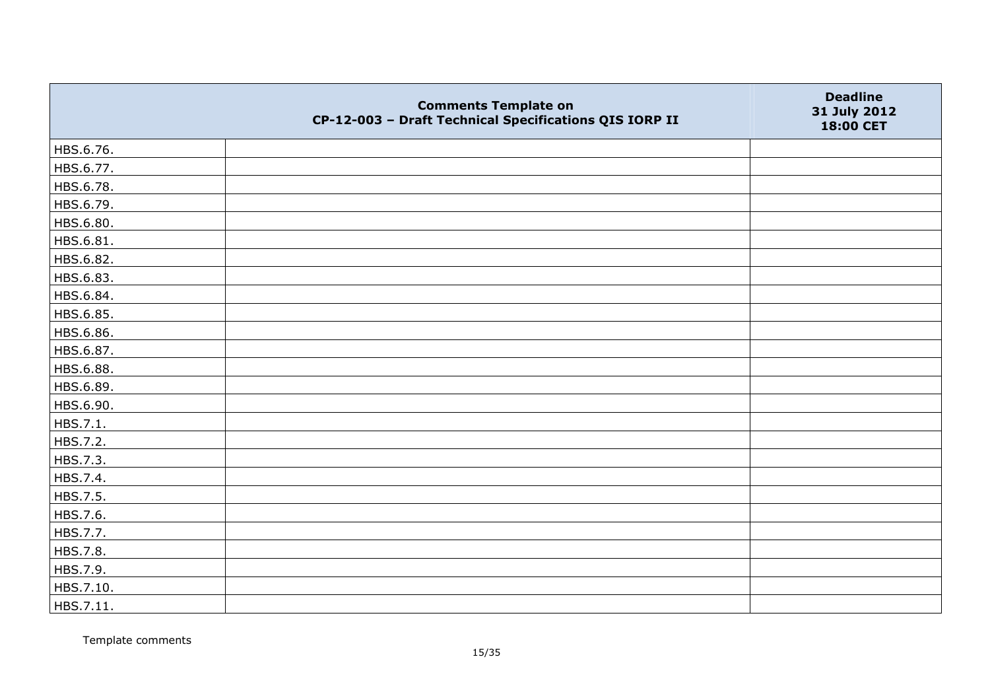|           | <b>Comments Template on</b><br>CP-12-003 - Draft Technical Specifications QIS IORP II | <b>Deadline</b><br>31 July 2012<br>18:00 CET |
|-----------|---------------------------------------------------------------------------------------|----------------------------------------------|
| HBS.6.76. |                                                                                       |                                              |
| HBS.6.77. |                                                                                       |                                              |
| HBS.6.78. |                                                                                       |                                              |
| HBS.6.79. |                                                                                       |                                              |
| HBS.6.80. |                                                                                       |                                              |
| HBS.6.81. |                                                                                       |                                              |
| HBS.6.82. |                                                                                       |                                              |
| HBS.6.83. |                                                                                       |                                              |
| HBS.6.84. |                                                                                       |                                              |
| HBS.6.85. |                                                                                       |                                              |
| HBS.6.86. |                                                                                       |                                              |
| HBS.6.87. |                                                                                       |                                              |
| HBS.6.88. |                                                                                       |                                              |
| HBS.6.89. |                                                                                       |                                              |
| HBS.6.90. |                                                                                       |                                              |
| HBS.7.1.  |                                                                                       |                                              |
| HBS.7.2.  |                                                                                       |                                              |
| HBS.7.3.  |                                                                                       |                                              |
| HBS.7.4.  |                                                                                       |                                              |
| HBS.7.5.  |                                                                                       |                                              |
| HBS.7.6.  |                                                                                       |                                              |
| HBS.7.7.  |                                                                                       |                                              |
| HBS.7.8.  |                                                                                       |                                              |
| HBS.7.9.  |                                                                                       |                                              |
| HBS.7.10. |                                                                                       |                                              |
| HBS.7.11. |                                                                                       |                                              |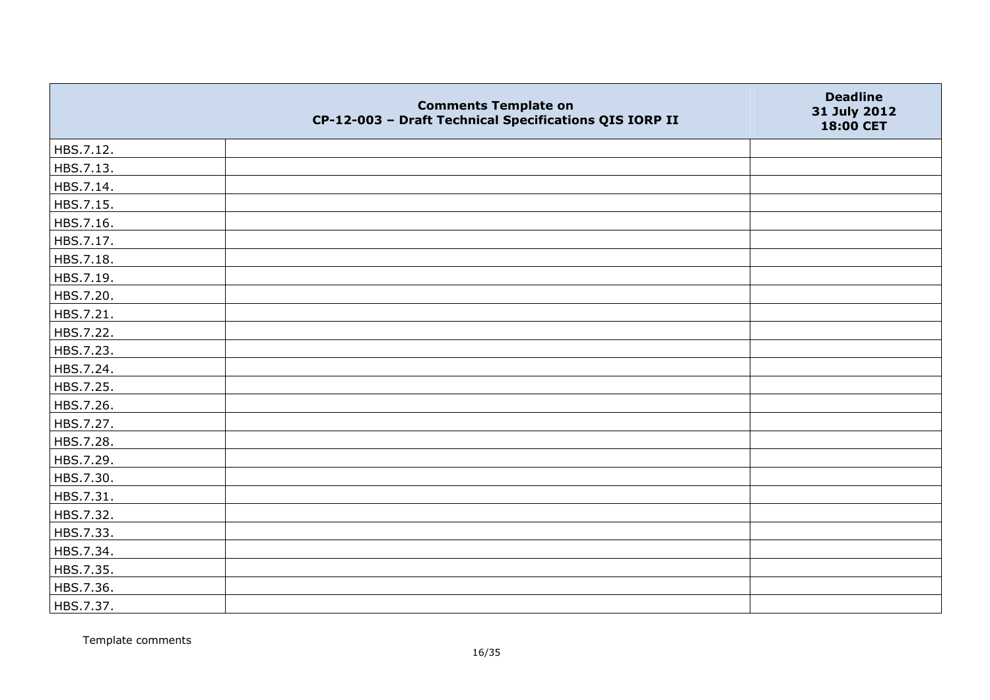|           | <b>Comments Template on</b><br>CP-12-003 - Draft Technical Specifications QIS IORP II | <b>Deadline</b><br>31 July 2012<br>18:00 CET |
|-----------|---------------------------------------------------------------------------------------|----------------------------------------------|
| HBS.7.12. |                                                                                       |                                              |
| HBS.7.13. |                                                                                       |                                              |
| HBS.7.14. |                                                                                       |                                              |
| HBS.7.15. |                                                                                       |                                              |
| HBS.7.16. |                                                                                       |                                              |
| HBS.7.17. |                                                                                       |                                              |
| HBS.7.18. |                                                                                       |                                              |
| HBS.7.19. |                                                                                       |                                              |
| HBS.7.20. |                                                                                       |                                              |
| HBS.7.21. |                                                                                       |                                              |
| HBS.7.22. |                                                                                       |                                              |
| HBS.7.23. |                                                                                       |                                              |
| HBS.7.24. |                                                                                       |                                              |
| HBS.7.25. |                                                                                       |                                              |
| HBS.7.26. |                                                                                       |                                              |
| HBS.7.27. |                                                                                       |                                              |
| HBS.7.28. |                                                                                       |                                              |
| HBS.7.29. |                                                                                       |                                              |
| HBS.7.30. |                                                                                       |                                              |
| HBS.7.31. |                                                                                       |                                              |
| HBS.7.32. |                                                                                       |                                              |
| HBS.7.33. |                                                                                       |                                              |
| HBS.7.34. |                                                                                       |                                              |
| HBS.7.35. |                                                                                       |                                              |
| HBS.7.36. |                                                                                       |                                              |
| HBS.7.37. |                                                                                       |                                              |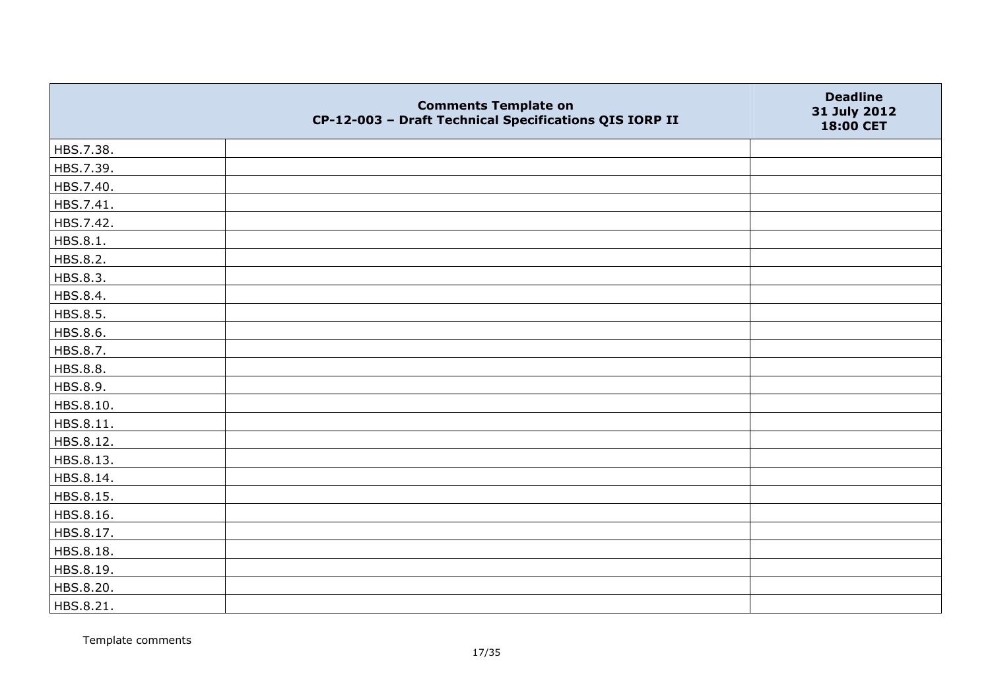|                 | <b>Comments Template on</b><br>CP-12-003 - Draft Technical Specifications QIS IORP II | <b>Deadline</b><br>31 July 2012<br>18:00 CET |
|-----------------|---------------------------------------------------------------------------------------|----------------------------------------------|
| HBS.7.38.       |                                                                                       |                                              |
| HBS.7.39.       |                                                                                       |                                              |
| HBS.7.40.       |                                                                                       |                                              |
| HBS.7.41.       |                                                                                       |                                              |
| HBS.7.42.       |                                                                                       |                                              |
| HBS.8.1.        |                                                                                       |                                              |
| HBS.8.2.        |                                                                                       |                                              |
| HBS.8.3.        |                                                                                       |                                              |
| HBS.8.4.        |                                                                                       |                                              |
| HBS.8.5.        |                                                                                       |                                              |
| HBS.8.6.        |                                                                                       |                                              |
| HBS.8.7.        |                                                                                       |                                              |
| <b>HBS.8.8.</b> |                                                                                       |                                              |
| HBS.8.9.        |                                                                                       |                                              |
| HBS.8.10.       |                                                                                       |                                              |
| HBS.8.11.       |                                                                                       |                                              |
| HBS.8.12.       |                                                                                       |                                              |
| HBS.8.13.       |                                                                                       |                                              |
| HBS.8.14.       |                                                                                       |                                              |
| HBS.8.15.       |                                                                                       |                                              |
| HBS.8.16.       |                                                                                       |                                              |
| HBS.8.17.       |                                                                                       |                                              |
| HBS.8.18.       |                                                                                       |                                              |
| HBS.8.19.       |                                                                                       |                                              |
| HBS.8.20.       |                                                                                       |                                              |
| HBS.8.21.       |                                                                                       |                                              |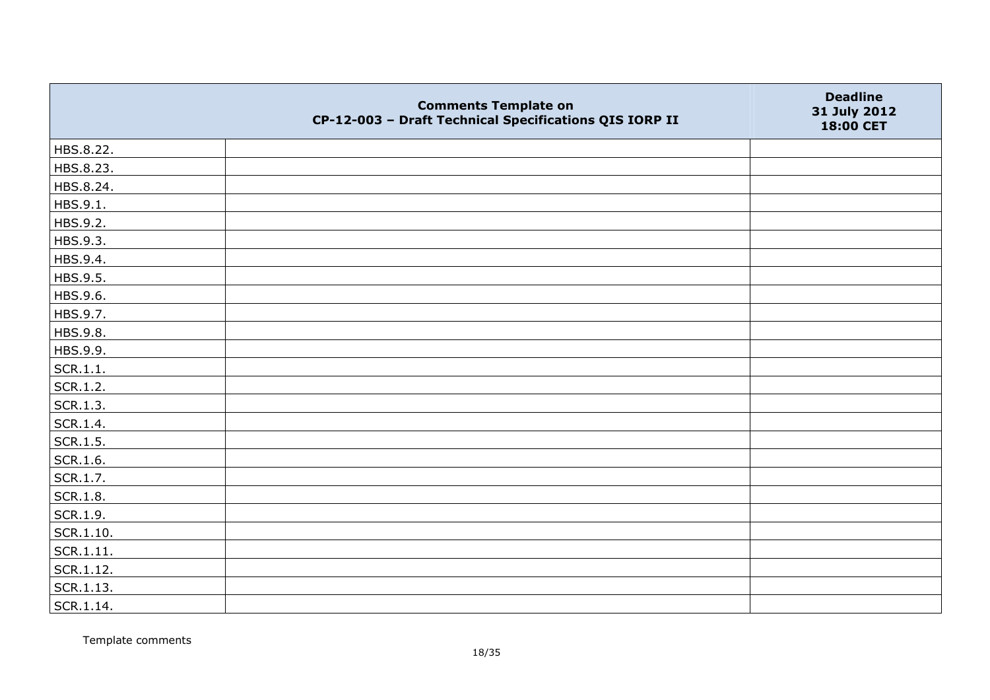|           | <b>Comments Template on</b><br>CP-12-003 - Draft Technical Specifications QIS IORP II | <b>Deadline</b><br>31 July 2012<br>18:00 CET |
|-----------|---------------------------------------------------------------------------------------|----------------------------------------------|
| HBS.8.22. |                                                                                       |                                              |
| HBS.8.23. |                                                                                       |                                              |
| HBS.8.24. |                                                                                       |                                              |
| HBS.9.1.  |                                                                                       |                                              |
| HBS.9.2.  |                                                                                       |                                              |
| HBS.9.3.  |                                                                                       |                                              |
| HBS.9.4.  |                                                                                       |                                              |
| HBS.9.5.  |                                                                                       |                                              |
| HBS.9.6.  |                                                                                       |                                              |
| HBS.9.7.  |                                                                                       |                                              |
| HBS.9.8.  |                                                                                       |                                              |
| HBS.9.9.  |                                                                                       |                                              |
| SCR.1.1.  |                                                                                       |                                              |
| SCR.1.2.  |                                                                                       |                                              |
| SCR.1.3.  |                                                                                       |                                              |
| SCR.1.4.  |                                                                                       |                                              |
| SCR.1.5.  |                                                                                       |                                              |
| SCR.1.6.  |                                                                                       |                                              |
| SCR.1.7.  |                                                                                       |                                              |
| SCR.1.8.  |                                                                                       |                                              |
| SCR.1.9.  |                                                                                       |                                              |
| SCR.1.10. |                                                                                       |                                              |
| SCR.1.11. |                                                                                       |                                              |
| SCR.1.12. |                                                                                       |                                              |
| SCR.1.13. |                                                                                       |                                              |
| SCR.1.14. |                                                                                       |                                              |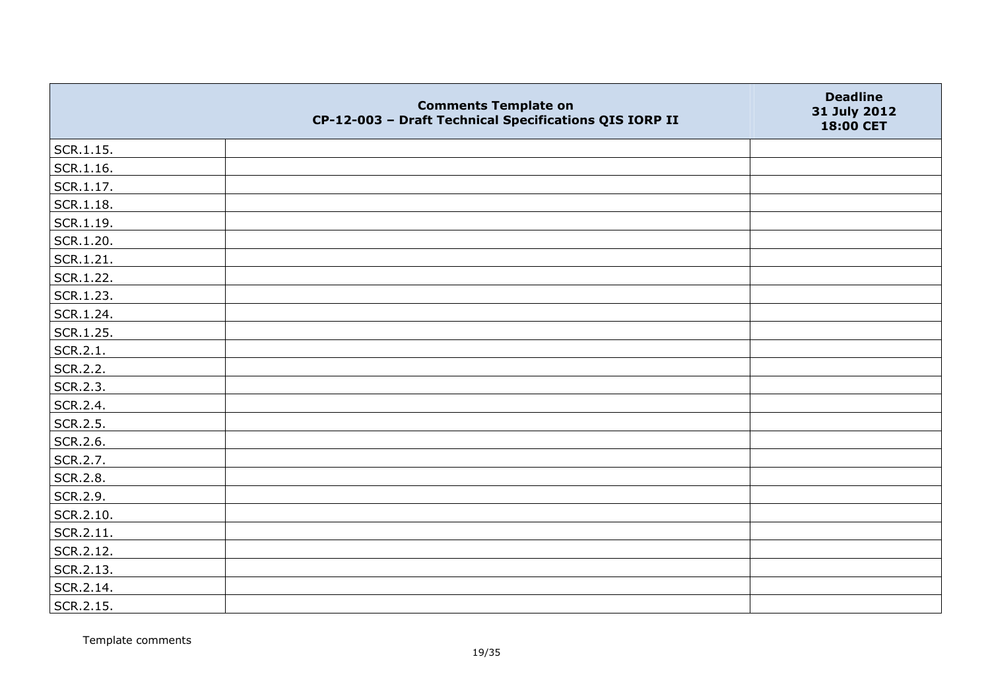|                   | <b>Comments Template on</b><br>CP-12-003 - Draft Technical Specifications QIS IORP II | <b>Deadline</b><br>31 July 2012<br>18:00 CET |
|-------------------|---------------------------------------------------------------------------------------|----------------------------------------------|
| $\vert$ SCR.1.15. |                                                                                       |                                              |
| SCR.1.16.         |                                                                                       |                                              |
| SCR.1.17.         |                                                                                       |                                              |
| SCR.1.18.         |                                                                                       |                                              |
| SCR.1.19.         |                                                                                       |                                              |
| SCR.1.20.         |                                                                                       |                                              |
| SCR.1.21.         |                                                                                       |                                              |
| SCR.1.22.         |                                                                                       |                                              |
| SCR.1.23.         |                                                                                       |                                              |
| SCR.1.24.         |                                                                                       |                                              |
| SCR.1.25.         |                                                                                       |                                              |
| SCR.2.1.          |                                                                                       |                                              |
| SCR.2.2.          |                                                                                       |                                              |
| SCR.2.3.          |                                                                                       |                                              |
| SCR.2.4.          |                                                                                       |                                              |
| SCR.2.5.          |                                                                                       |                                              |
| SCR.2.6.          |                                                                                       |                                              |
| SCR.2.7.          |                                                                                       |                                              |
| SCR.2.8.          |                                                                                       |                                              |
| SCR.2.9.          |                                                                                       |                                              |
| SCR.2.10.         |                                                                                       |                                              |
| SCR.2.11.         |                                                                                       |                                              |
| SCR.2.12.         |                                                                                       |                                              |
| SCR.2.13.         |                                                                                       |                                              |
| SCR.2.14.         |                                                                                       |                                              |
| SCR.2.15.         |                                                                                       |                                              |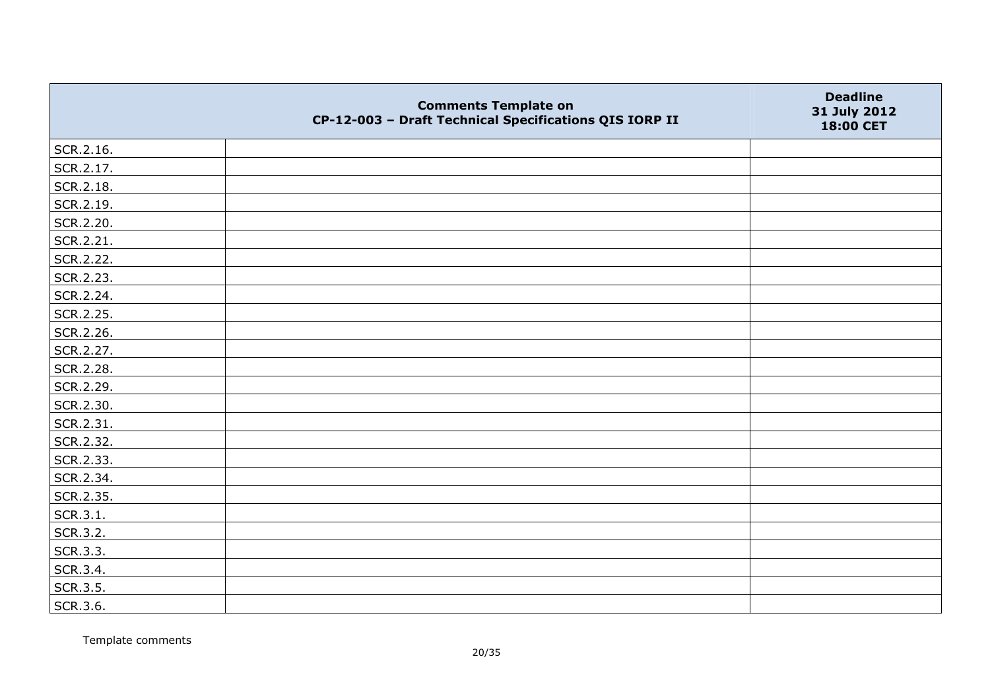|           | <b>Comments Template on</b><br>CP-12-003 - Draft Technical Specifications QIS IORP II | <b>Deadline</b><br>31 July 2012<br>18:00 CET |
|-----------|---------------------------------------------------------------------------------------|----------------------------------------------|
| SCR.2.16. |                                                                                       |                                              |
| SCR.2.17. |                                                                                       |                                              |
| SCR.2.18. |                                                                                       |                                              |
| SCR.2.19. |                                                                                       |                                              |
| SCR.2.20. |                                                                                       |                                              |
| SCR.2.21. |                                                                                       |                                              |
| SCR.2.22. |                                                                                       |                                              |
| SCR.2.23. |                                                                                       |                                              |
| SCR.2.24. |                                                                                       |                                              |
| SCR.2.25. |                                                                                       |                                              |
| SCR.2.26. |                                                                                       |                                              |
| SCR.2.27. |                                                                                       |                                              |
| SCR.2.28. |                                                                                       |                                              |
| SCR.2.29. |                                                                                       |                                              |
| SCR.2.30. |                                                                                       |                                              |
| SCR.2.31. |                                                                                       |                                              |
| SCR.2.32. |                                                                                       |                                              |
| SCR.2.33. |                                                                                       |                                              |
| SCR.2.34. |                                                                                       |                                              |
| SCR.2.35. |                                                                                       |                                              |
| SCR.3.1.  |                                                                                       |                                              |
| SCR.3.2.  |                                                                                       |                                              |
| SCR.3.3.  |                                                                                       |                                              |
| SCR.3.4.  |                                                                                       |                                              |
| SCR.3.5.  |                                                                                       |                                              |
| SCR.3.6.  |                                                                                       |                                              |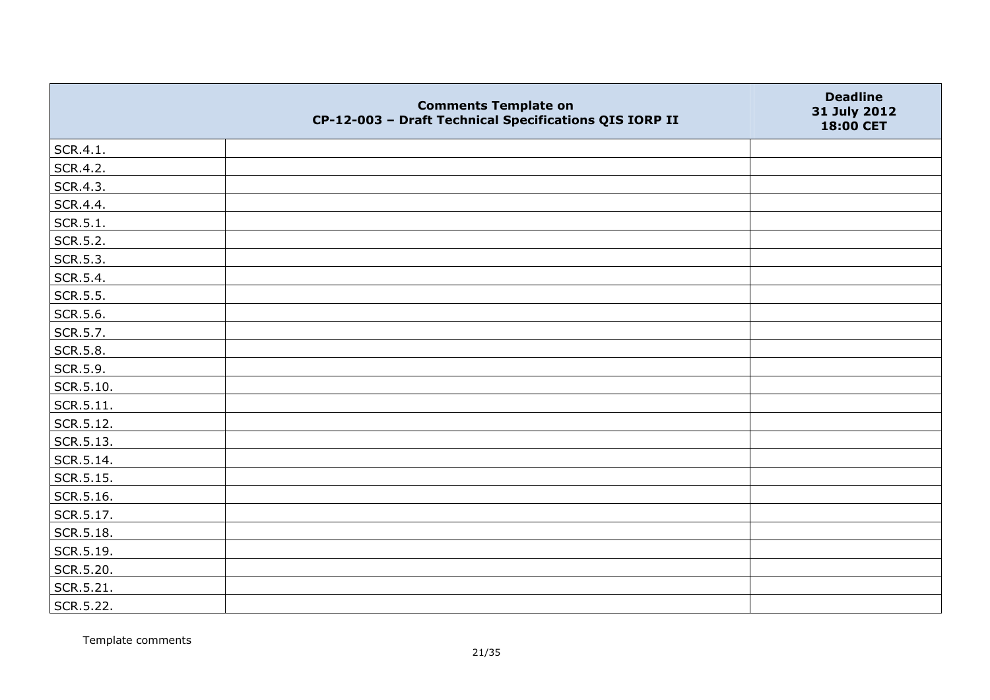|           | <b>Comments Template on</b><br>CP-12-003 - Draft Technical Specifications QIS IORP II | <b>Deadline</b><br>31 July 2012<br>18:00 CET |
|-----------|---------------------------------------------------------------------------------------|----------------------------------------------|
| SCR.4.1.  |                                                                                       |                                              |
| SCR.4.2.  |                                                                                       |                                              |
| SCR.4.3.  |                                                                                       |                                              |
| SCR.4.4.  |                                                                                       |                                              |
| SCR.5.1.  |                                                                                       |                                              |
| SCR.5.2.  |                                                                                       |                                              |
| SCR.5.3.  |                                                                                       |                                              |
| SCR.5.4.  |                                                                                       |                                              |
| SCR.5.5.  |                                                                                       |                                              |
| SCR.5.6.  |                                                                                       |                                              |
| SCR.5.7.  |                                                                                       |                                              |
| SCR.5.8.  |                                                                                       |                                              |
| SCR.5.9.  |                                                                                       |                                              |
| SCR.5.10. |                                                                                       |                                              |
| SCR.5.11. |                                                                                       |                                              |
| SCR.5.12. |                                                                                       |                                              |
| SCR.5.13. |                                                                                       |                                              |
| SCR.5.14. |                                                                                       |                                              |
| SCR.5.15. |                                                                                       |                                              |
| SCR.5.16. |                                                                                       |                                              |
| SCR.5.17. |                                                                                       |                                              |
| SCR.5.18. |                                                                                       |                                              |
| SCR.5.19. |                                                                                       |                                              |
| SCR.5.20. |                                                                                       |                                              |
| SCR.5.21. |                                                                                       |                                              |
| SCR.5.22. |                                                                                       |                                              |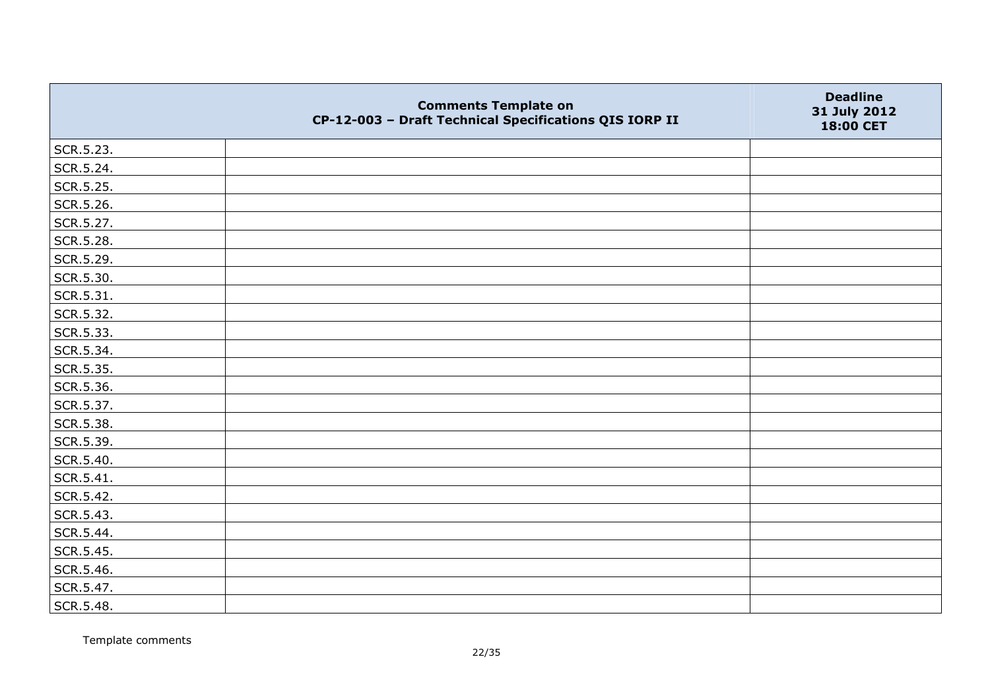|           | <b>Comments Template on</b><br>CP-12-003 - Draft Technical Specifications QIS IORP II | <b>Deadline</b><br>31 July 2012<br>18:00 CET |
|-----------|---------------------------------------------------------------------------------------|----------------------------------------------|
| SCR.5.23. |                                                                                       |                                              |
| SCR.5.24. |                                                                                       |                                              |
| SCR.5.25. |                                                                                       |                                              |
| SCR.5.26. |                                                                                       |                                              |
| SCR.5.27. |                                                                                       |                                              |
| SCR.5.28. |                                                                                       |                                              |
| SCR.5.29. |                                                                                       |                                              |
| SCR.5.30. |                                                                                       |                                              |
| SCR.5.31. |                                                                                       |                                              |
| SCR.5.32. |                                                                                       |                                              |
| SCR.5.33. |                                                                                       |                                              |
| SCR.5.34. |                                                                                       |                                              |
| SCR.5.35. |                                                                                       |                                              |
| SCR.5.36. |                                                                                       |                                              |
| SCR.5.37. |                                                                                       |                                              |
| SCR.5.38. |                                                                                       |                                              |
| SCR.5.39. |                                                                                       |                                              |
| SCR.5.40. |                                                                                       |                                              |
| SCR.5.41. |                                                                                       |                                              |
| SCR.5.42. |                                                                                       |                                              |
| SCR.5.43. |                                                                                       |                                              |
| SCR.5.44. |                                                                                       |                                              |
| SCR.5.45. |                                                                                       |                                              |
| SCR.5.46. |                                                                                       |                                              |
| SCR.5.47. |                                                                                       |                                              |
| SCR.5.48. |                                                                                       |                                              |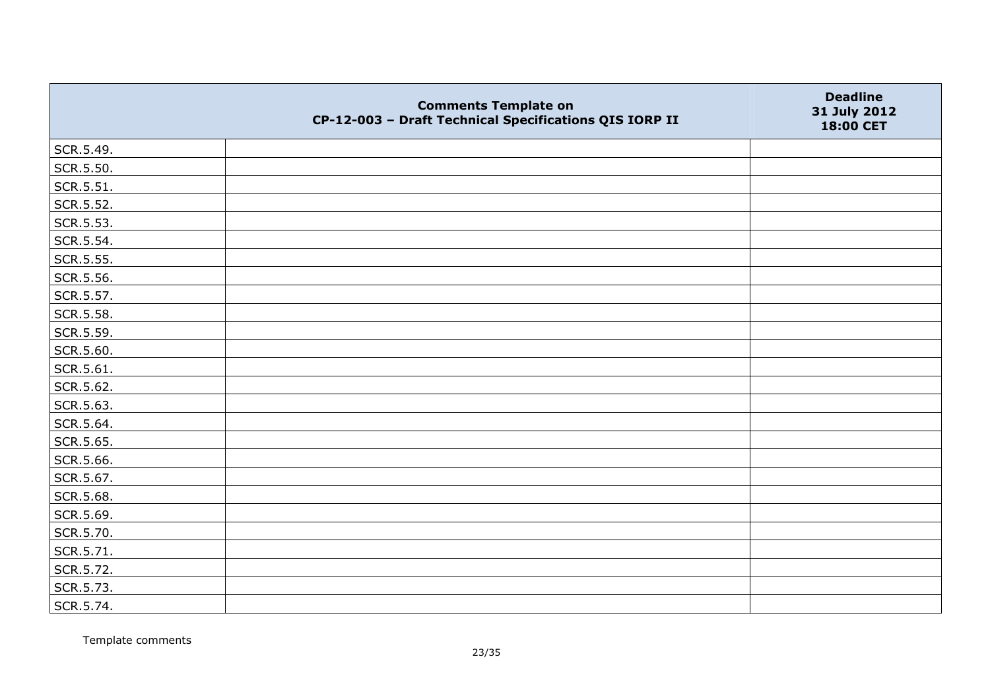|           | <b>Comments Template on</b><br>CP-12-003 - Draft Technical Specifications QIS IORP II | <b>Deadline</b><br>31 July 2012<br>18:00 CET |
|-----------|---------------------------------------------------------------------------------------|----------------------------------------------|
| SCR.5.49. |                                                                                       |                                              |
| SCR.5.50. |                                                                                       |                                              |
| SCR.5.51. |                                                                                       |                                              |
| SCR.5.52. |                                                                                       |                                              |
| SCR.5.53. |                                                                                       |                                              |
| SCR.5.54. |                                                                                       |                                              |
| SCR.5.55. |                                                                                       |                                              |
| SCR.5.56. |                                                                                       |                                              |
| SCR.5.57. |                                                                                       |                                              |
| SCR.5.58. |                                                                                       |                                              |
| SCR.5.59. |                                                                                       |                                              |
| SCR.5.60. |                                                                                       |                                              |
| SCR.5.61. |                                                                                       |                                              |
| SCR.5.62. |                                                                                       |                                              |
| SCR.5.63. |                                                                                       |                                              |
| SCR.5.64. |                                                                                       |                                              |
| SCR.5.65. |                                                                                       |                                              |
| SCR.5.66. |                                                                                       |                                              |
| SCR.5.67. |                                                                                       |                                              |
| SCR.5.68. |                                                                                       |                                              |
| SCR.5.69. |                                                                                       |                                              |
| SCR.5.70. |                                                                                       |                                              |
| SCR.5.71. |                                                                                       |                                              |
| SCR.5.72. |                                                                                       |                                              |
| SCR.5.73. |                                                                                       |                                              |
| SCR.5.74. |                                                                                       |                                              |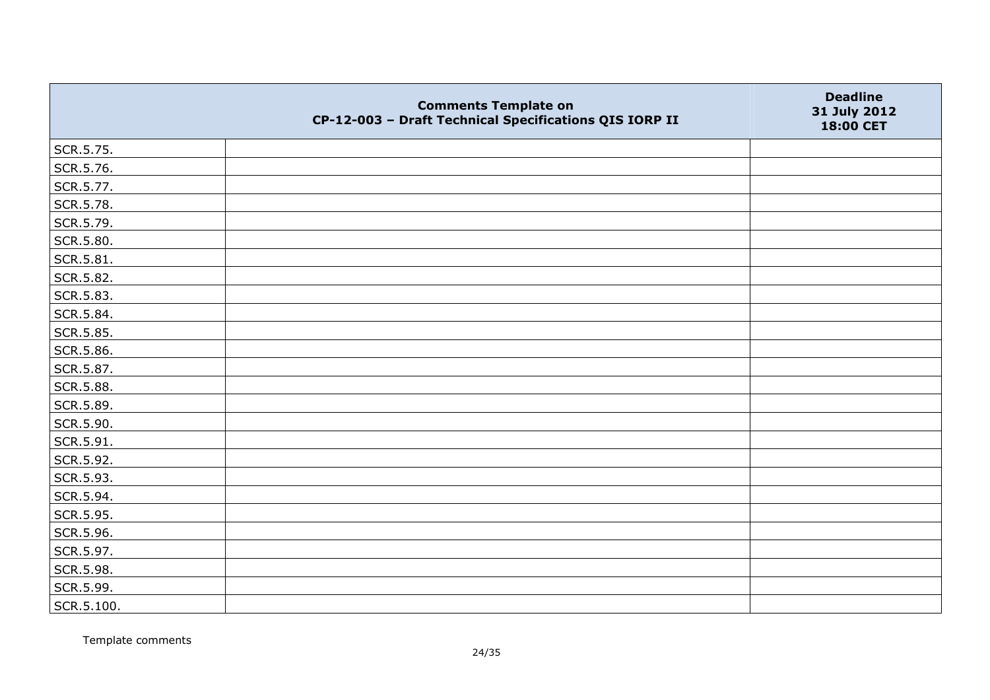|            | <b>Comments Template on</b><br>CP-12-003 - Draft Technical Specifications QIS IORP II | <b>Deadline</b><br>31 July 2012<br>18:00 CET |
|------------|---------------------------------------------------------------------------------------|----------------------------------------------|
| SCR.5.75.  |                                                                                       |                                              |
| SCR.5.76.  |                                                                                       |                                              |
| SCR.5.77.  |                                                                                       |                                              |
| SCR.5.78.  |                                                                                       |                                              |
| SCR.5.79.  |                                                                                       |                                              |
| SCR.5.80.  |                                                                                       |                                              |
| SCR.5.81.  |                                                                                       |                                              |
| SCR.5.82.  |                                                                                       |                                              |
| SCR.5.83.  |                                                                                       |                                              |
| SCR.5.84.  |                                                                                       |                                              |
| SCR.5.85.  |                                                                                       |                                              |
| SCR.5.86.  |                                                                                       |                                              |
| SCR.5.87.  |                                                                                       |                                              |
| SCR.5.88.  |                                                                                       |                                              |
| SCR.5.89.  |                                                                                       |                                              |
| SCR.5.90.  |                                                                                       |                                              |
| SCR.5.91.  |                                                                                       |                                              |
| SCR.5.92.  |                                                                                       |                                              |
| SCR.5.93.  |                                                                                       |                                              |
| SCR.5.94.  |                                                                                       |                                              |
| SCR.5.95.  |                                                                                       |                                              |
| SCR.5.96.  |                                                                                       |                                              |
| SCR.5.97.  |                                                                                       |                                              |
| SCR.5.98.  |                                                                                       |                                              |
| SCR.5.99.  |                                                                                       |                                              |
| SCR.5.100. |                                                                                       |                                              |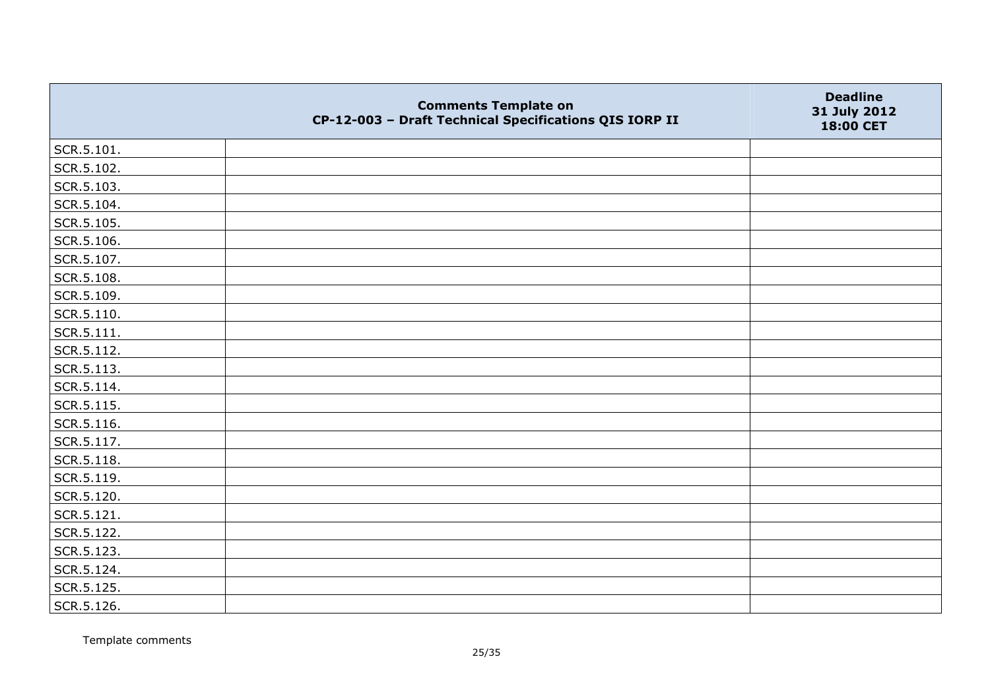|                | <b>Comments Template on</b><br>CP-12-003 - Draft Technical Specifications QIS IORP II | <b>Deadline</b><br>31 July 2012<br>18:00 CET |
|----------------|---------------------------------------------------------------------------------------|----------------------------------------------|
| SCR.5.101.     |                                                                                       |                                              |
| SCR.5.102.     |                                                                                       |                                              |
| SCR.5.103.     |                                                                                       |                                              |
| SCR.5.104.     |                                                                                       |                                              |
| SCR.5.105.     |                                                                                       |                                              |
| SCR.5.106.     |                                                                                       |                                              |
| SCR.5.107.     |                                                                                       |                                              |
| SCR.5.108.     |                                                                                       |                                              |
| SCR.5.109.     |                                                                                       |                                              |
| SCR.5.110.     |                                                                                       |                                              |
| $ $ SCR.5.111. |                                                                                       |                                              |
| SCR.5.112.     |                                                                                       |                                              |
| SCR.5.113.     |                                                                                       |                                              |
| SCR.5.114.     |                                                                                       |                                              |
| SCR.5.115.     |                                                                                       |                                              |
| SCR.5.116.     |                                                                                       |                                              |
| SCR.5.117.     |                                                                                       |                                              |
| SCR.5.118.     |                                                                                       |                                              |
| SCR.5.119.     |                                                                                       |                                              |
| SCR.5.120.     |                                                                                       |                                              |
| SCR.5.121.     |                                                                                       |                                              |
| SCR.5.122.     |                                                                                       |                                              |
| SCR.5.123.     |                                                                                       |                                              |
| SCR.5.124.     |                                                                                       |                                              |
| SCR.5.125.     |                                                                                       |                                              |
| SCR.5.126.     |                                                                                       |                                              |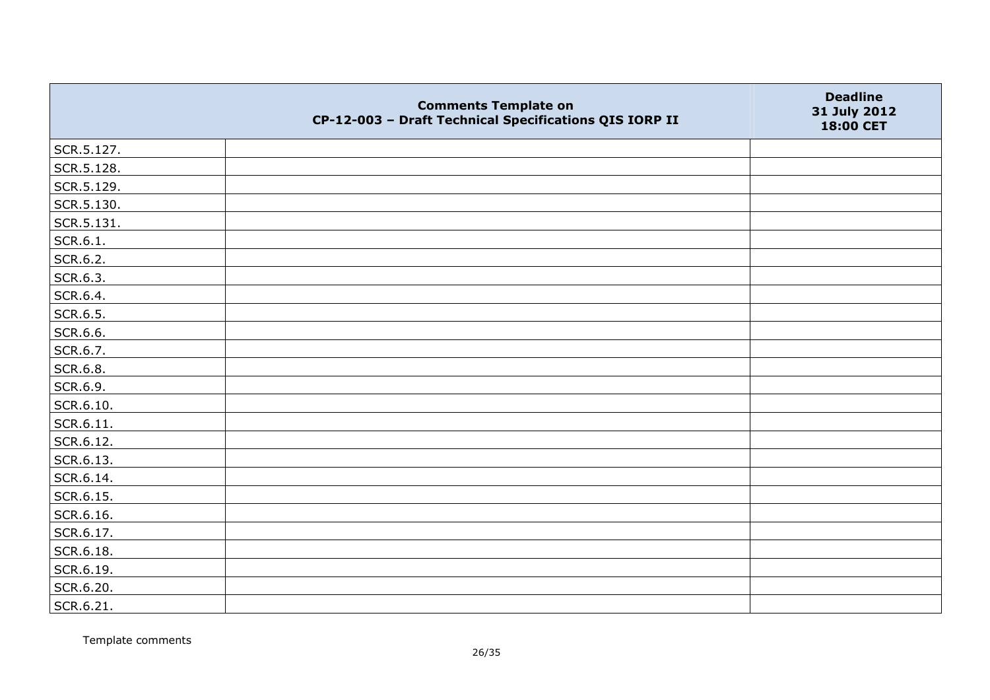|            | <b>Comments Template on</b><br>CP-12-003 - Draft Technical Specifications QIS IORP II | <b>Deadline</b><br>31 July 2012<br>18:00 CET |
|------------|---------------------------------------------------------------------------------------|----------------------------------------------|
| SCR.5.127. |                                                                                       |                                              |
| SCR.5.128. |                                                                                       |                                              |
| SCR.5.129. |                                                                                       |                                              |
| SCR.5.130. |                                                                                       |                                              |
| SCR.5.131. |                                                                                       |                                              |
| SCR.6.1.   |                                                                                       |                                              |
| SCR.6.2.   |                                                                                       |                                              |
| SCR.6.3.   |                                                                                       |                                              |
| SCR.6.4.   |                                                                                       |                                              |
| SCR.6.5.   |                                                                                       |                                              |
| SCR.6.6.   |                                                                                       |                                              |
| SCR.6.7.   |                                                                                       |                                              |
| SCR.6.8.   |                                                                                       |                                              |
| SCR.6.9.   |                                                                                       |                                              |
| SCR.6.10.  |                                                                                       |                                              |
| SCR.6.11.  |                                                                                       |                                              |
| SCR.6.12.  |                                                                                       |                                              |
| SCR.6.13.  |                                                                                       |                                              |
| SCR.6.14.  |                                                                                       |                                              |
| SCR.6.15.  |                                                                                       |                                              |
| SCR.6.16.  |                                                                                       |                                              |
| SCR.6.17.  |                                                                                       |                                              |
| SCR.6.18.  |                                                                                       |                                              |
| SCR.6.19.  |                                                                                       |                                              |
| SCR.6.20.  |                                                                                       |                                              |
| SCR.6.21.  |                                                                                       |                                              |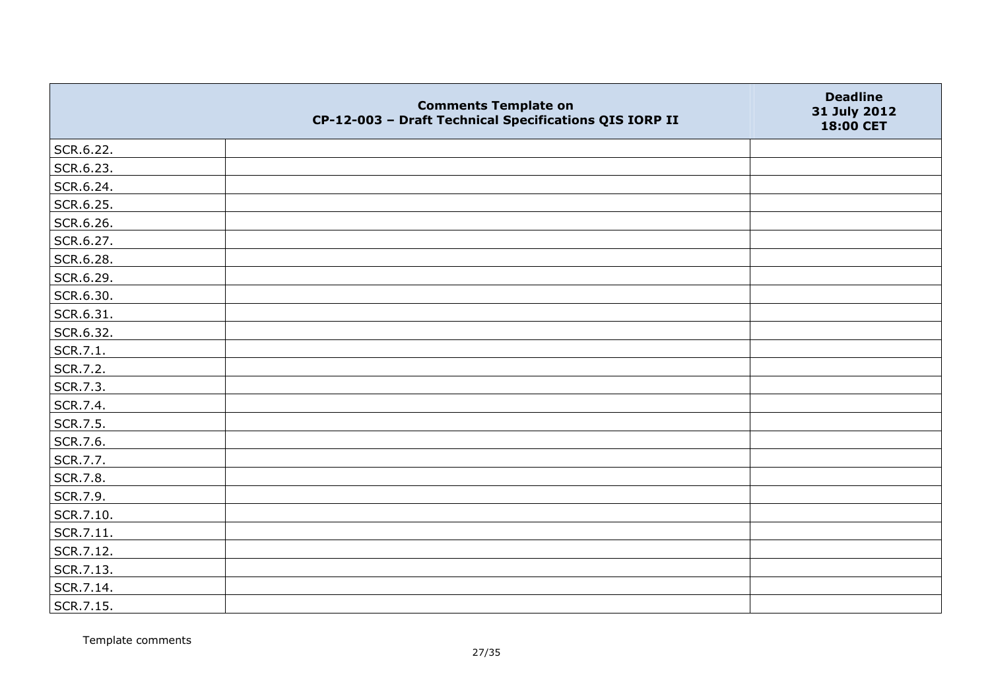|           | <b>Comments Template on</b><br>CP-12-003 - Draft Technical Specifications QIS IORP II | <b>Deadline</b><br>31 July 2012<br>18:00 CET |
|-----------|---------------------------------------------------------------------------------------|----------------------------------------------|
| SCR.6.22. |                                                                                       |                                              |
| SCR.6.23. |                                                                                       |                                              |
| SCR.6.24. |                                                                                       |                                              |
| SCR.6.25. |                                                                                       |                                              |
| SCR.6.26. |                                                                                       |                                              |
| SCR.6.27. |                                                                                       |                                              |
| SCR.6.28. |                                                                                       |                                              |
| SCR.6.29. |                                                                                       |                                              |
| SCR.6.30. |                                                                                       |                                              |
| SCR.6.31. |                                                                                       |                                              |
| SCR.6.32. |                                                                                       |                                              |
| SCR.7.1.  |                                                                                       |                                              |
| SCR.7.2.  |                                                                                       |                                              |
| SCR.7.3.  |                                                                                       |                                              |
| SCR.7.4.  |                                                                                       |                                              |
| SCR.7.5.  |                                                                                       |                                              |
| SCR.7.6.  |                                                                                       |                                              |
| SCR.7.7.  |                                                                                       |                                              |
| SCR.7.8.  |                                                                                       |                                              |
| SCR.7.9.  |                                                                                       |                                              |
| SCR.7.10. |                                                                                       |                                              |
| SCR.7.11. |                                                                                       |                                              |
| SCR.7.12. |                                                                                       |                                              |
| SCR.7.13. |                                                                                       |                                              |
| SCR.7.14. |                                                                                       |                                              |
| SCR.7.15. |                                                                                       |                                              |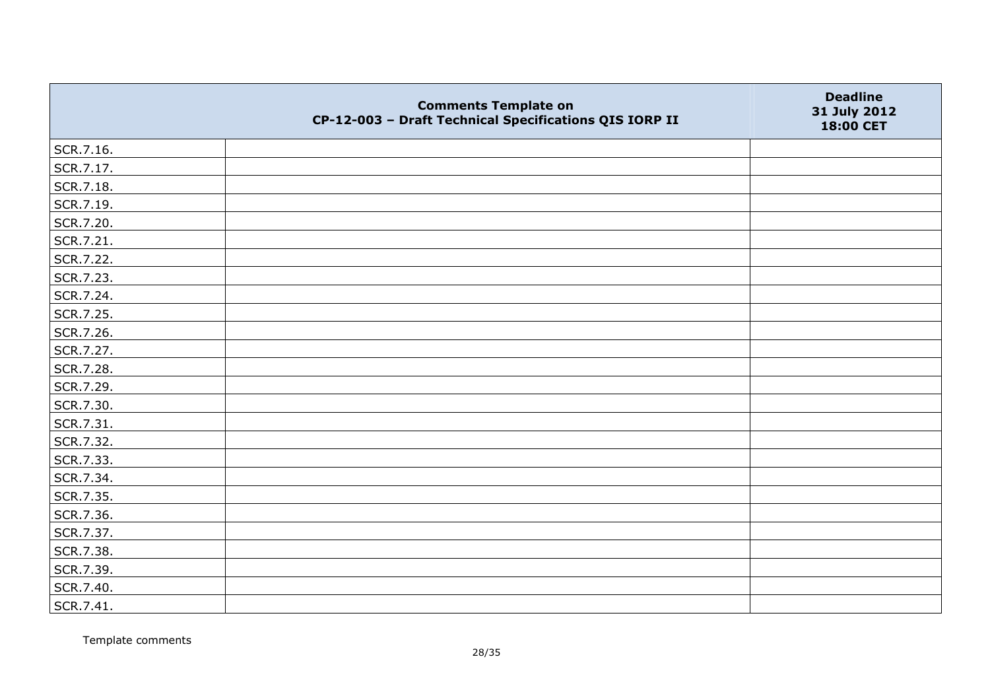|           | <b>Comments Template on</b><br>CP-12-003 - Draft Technical Specifications QIS IORP II | <b>Deadline</b><br>31 July 2012<br>18:00 CET |
|-----------|---------------------------------------------------------------------------------------|----------------------------------------------|
| SCR.7.16. |                                                                                       |                                              |
| SCR.7.17. |                                                                                       |                                              |
| SCR.7.18. |                                                                                       |                                              |
| SCR.7.19. |                                                                                       |                                              |
| SCR.7.20. |                                                                                       |                                              |
| SCR.7.21. |                                                                                       |                                              |
| SCR.7.22. |                                                                                       |                                              |
| SCR.7.23. |                                                                                       |                                              |
| SCR.7.24. |                                                                                       |                                              |
| SCR.7.25. |                                                                                       |                                              |
| SCR.7.26. |                                                                                       |                                              |
| SCR.7.27. |                                                                                       |                                              |
| SCR.7.28. |                                                                                       |                                              |
| SCR.7.29. |                                                                                       |                                              |
| SCR.7.30. |                                                                                       |                                              |
| SCR.7.31. |                                                                                       |                                              |
| SCR.7.32. |                                                                                       |                                              |
| SCR.7.33. |                                                                                       |                                              |
| SCR.7.34. |                                                                                       |                                              |
| SCR.7.35. |                                                                                       |                                              |
| SCR.7.36. |                                                                                       |                                              |
| SCR.7.37. |                                                                                       |                                              |
| SCR.7.38. |                                                                                       |                                              |
| SCR.7.39. |                                                                                       |                                              |
| SCR.7.40. |                                                                                       |                                              |
| SCR.7.41. |                                                                                       |                                              |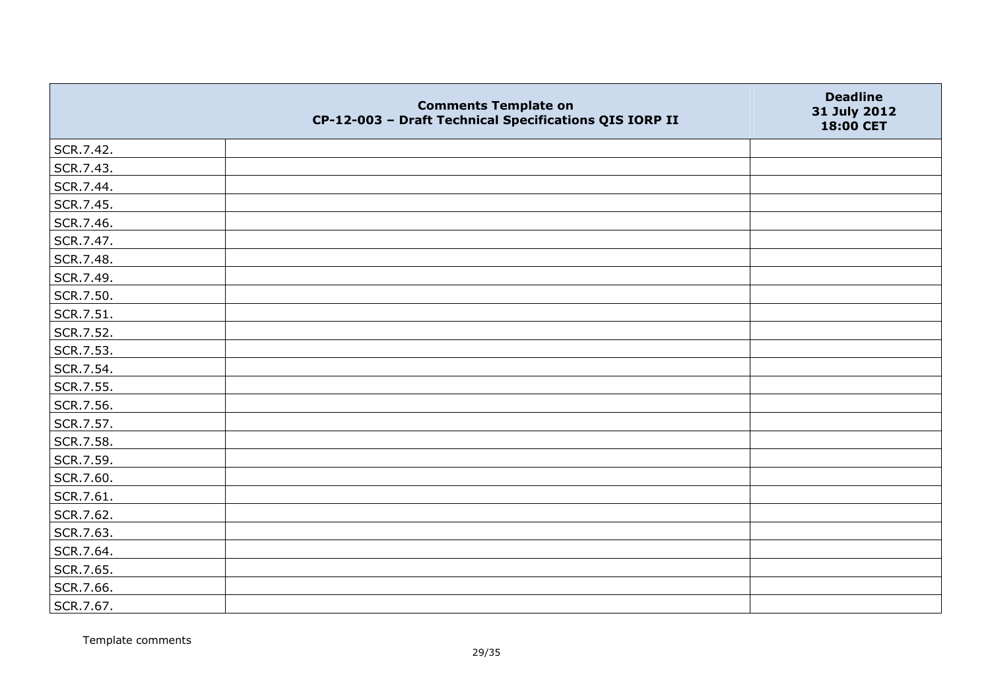|           | <b>Comments Template on</b><br>CP-12-003 - Draft Technical Specifications QIS IORP II | <b>Deadline</b><br>31 July 2012<br>18:00 CET |
|-----------|---------------------------------------------------------------------------------------|----------------------------------------------|
| SCR.7.42. |                                                                                       |                                              |
| SCR.7.43. |                                                                                       |                                              |
| SCR.7.44. |                                                                                       |                                              |
| SCR.7.45. |                                                                                       |                                              |
| SCR.7.46. |                                                                                       |                                              |
| SCR.7.47. |                                                                                       |                                              |
| SCR.7.48. |                                                                                       |                                              |
| SCR.7.49. |                                                                                       |                                              |
| SCR.7.50. |                                                                                       |                                              |
| SCR.7.51. |                                                                                       |                                              |
| SCR.7.52. |                                                                                       |                                              |
| SCR.7.53. |                                                                                       |                                              |
| SCR.7.54. |                                                                                       |                                              |
| SCR.7.55. |                                                                                       |                                              |
| SCR.7.56. |                                                                                       |                                              |
| SCR.7.57. |                                                                                       |                                              |
| SCR.7.58. |                                                                                       |                                              |
| SCR.7.59. |                                                                                       |                                              |
| SCR.7.60. |                                                                                       |                                              |
| SCR.7.61. |                                                                                       |                                              |
| SCR.7.62. |                                                                                       |                                              |
| SCR.7.63. |                                                                                       |                                              |
| SCR.7.64. |                                                                                       |                                              |
| SCR.7.65. |                                                                                       |                                              |
| SCR.7.66. |                                                                                       |                                              |
| SCR.7.67. |                                                                                       |                                              |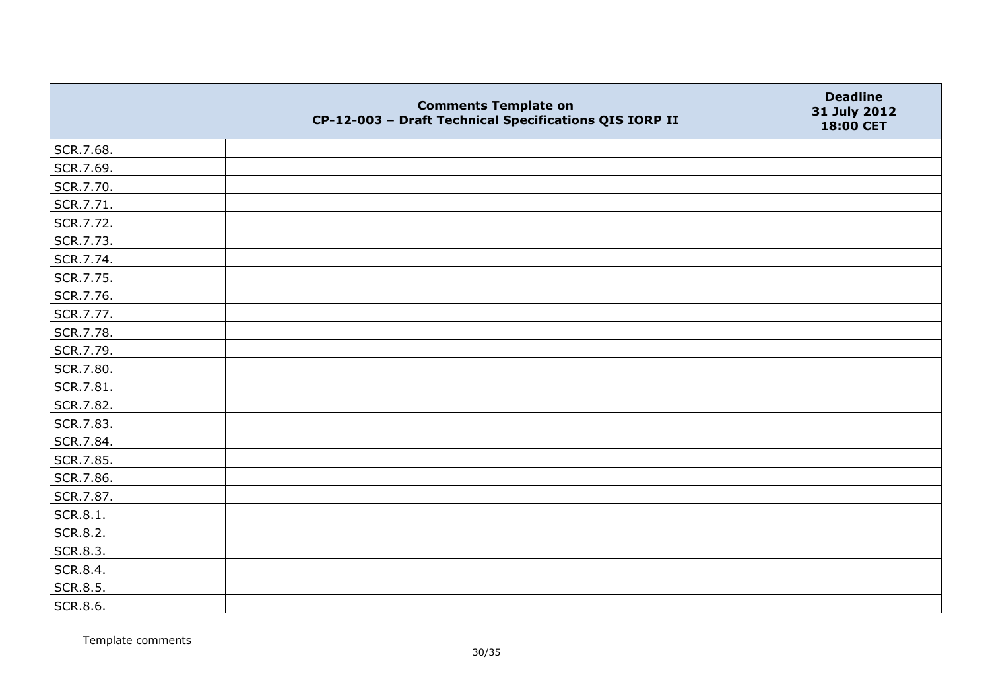|                 | <b>Comments Template on</b><br>CP-12-003 - Draft Technical Specifications QIS IORP II | <b>Deadline</b><br>31 July 2012<br>18:00 CET |
|-----------------|---------------------------------------------------------------------------------------|----------------------------------------------|
| SCR.7.68.       |                                                                                       |                                              |
| SCR.7.69.       |                                                                                       |                                              |
| SCR.7.70.       |                                                                                       |                                              |
| SCR.7.71.       |                                                                                       |                                              |
| SCR.7.72.       |                                                                                       |                                              |
| SCR.7.73.       |                                                                                       |                                              |
| SCR.7.74.       |                                                                                       |                                              |
| SCR.7.75.       |                                                                                       |                                              |
| SCR.7.76.       |                                                                                       |                                              |
| SCR.7.77.       |                                                                                       |                                              |
| SCR.7.78.       |                                                                                       |                                              |
| SCR.7.79.       |                                                                                       |                                              |
| SCR.7.80.       |                                                                                       |                                              |
| SCR.7.81.       |                                                                                       |                                              |
| SCR.7.82.       |                                                                                       |                                              |
| SCR.7.83.       |                                                                                       |                                              |
| SCR.7.84.       |                                                                                       |                                              |
| SCR.7.85.       |                                                                                       |                                              |
| SCR.7.86.       |                                                                                       |                                              |
| SCR.7.87.       |                                                                                       |                                              |
| SCR.8.1.        |                                                                                       |                                              |
| <b>SCR.8.2.</b> |                                                                                       |                                              |
| SCR.8.3.        |                                                                                       |                                              |
| SCR.8.4.        |                                                                                       |                                              |
| SCR.8.5.        |                                                                                       |                                              |
| SCR.8.6.        |                                                                                       |                                              |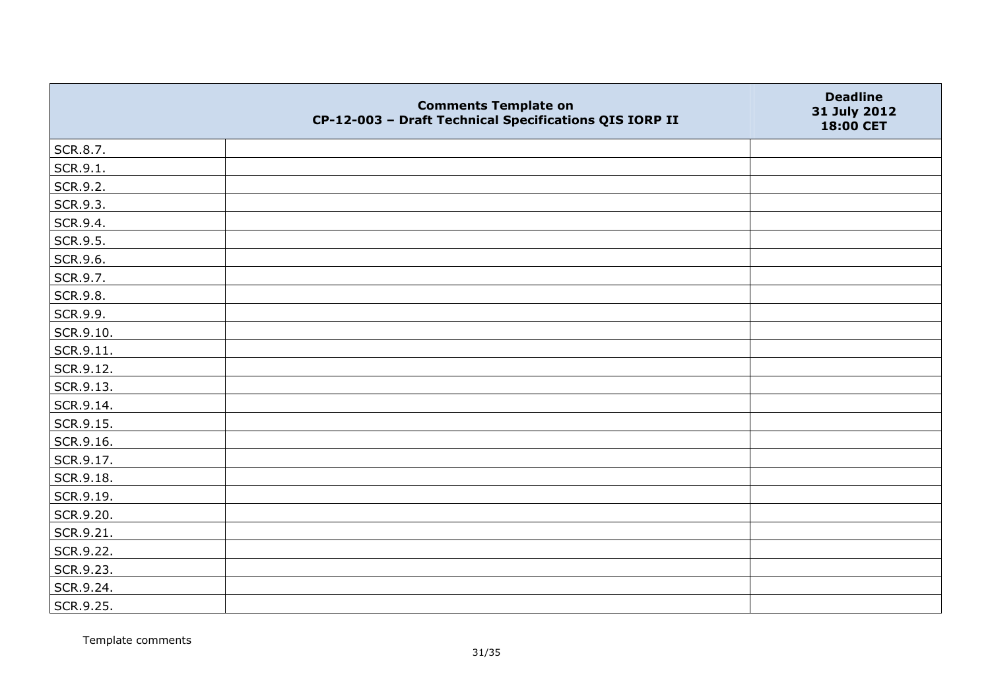|           | <b>Comments Template on</b><br>CP-12-003 - Draft Technical Specifications QIS IORP II | <b>Deadline</b><br>31 July 2012<br>18:00 CET |
|-----------|---------------------------------------------------------------------------------------|----------------------------------------------|
| SCR.8.7.  |                                                                                       |                                              |
| SCR.9.1.  |                                                                                       |                                              |
| SCR.9.2.  |                                                                                       |                                              |
| SCR.9.3.  |                                                                                       |                                              |
| SCR.9.4.  |                                                                                       |                                              |
| SCR.9.5.  |                                                                                       |                                              |
| SCR.9.6.  |                                                                                       |                                              |
| SCR.9.7.  |                                                                                       |                                              |
| SCR.9.8.  |                                                                                       |                                              |
| SCR.9.9.  |                                                                                       |                                              |
| SCR.9.10. |                                                                                       |                                              |
| SCR.9.11. |                                                                                       |                                              |
| SCR.9.12. |                                                                                       |                                              |
| SCR.9.13. |                                                                                       |                                              |
| SCR.9.14. |                                                                                       |                                              |
| SCR.9.15. |                                                                                       |                                              |
| SCR.9.16. |                                                                                       |                                              |
| SCR.9.17. |                                                                                       |                                              |
| SCR.9.18. |                                                                                       |                                              |
| SCR.9.19. |                                                                                       |                                              |
| SCR.9.20. |                                                                                       |                                              |
| SCR.9.21. |                                                                                       |                                              |
| SCR.9.22. |                                                                                       |                                              |
| SCR.9.23. |                                                                                       |                                              |
| SCR.9.24. |                                                                                       |                                              |
| SCR.9.25. |                                                                                       |                                              |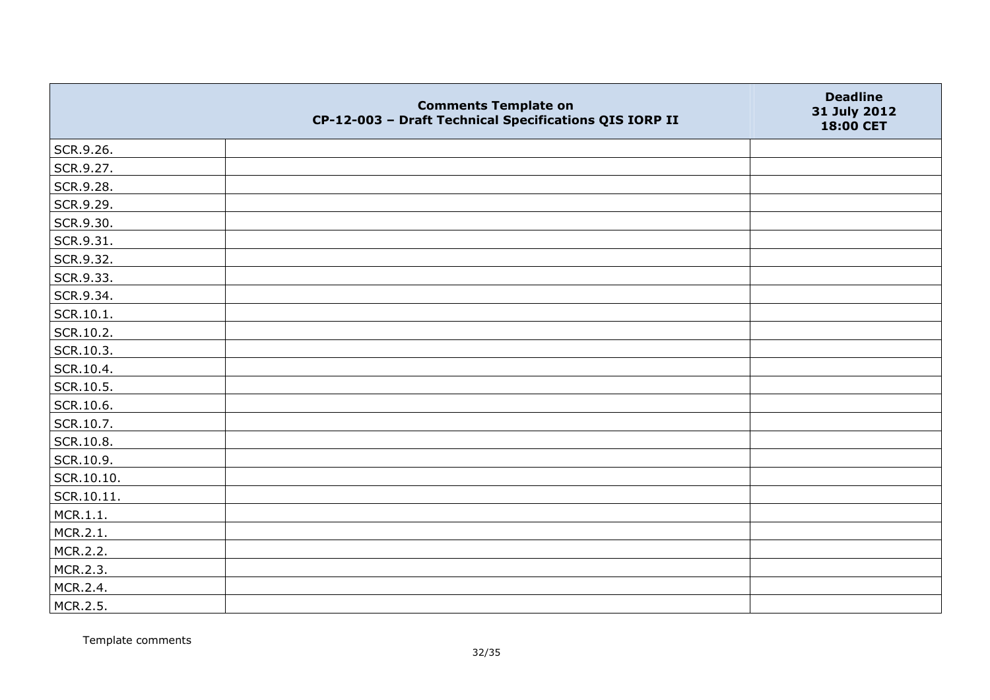|            | <b>Comments Template on</b><br>CP-12-003 - Draft Technical Specifications QIS IORP II | <b>Deadline</b><br>31 July 2012<br>18:00 CET |
|------------|---------------------------------------------------------------------------------------|----------------------------------------------|
| SCR.9.26.  |                                                                                       |                                              |
| SCR.9.27.  |                                                                                       |                                              |
| SCR.9.28.  |                                                                                       |                                              |
| SCR.9.29.  |                                                                                       |                                              |
| SCR.9.30.  |                                                                                       |                                              |
| SCR.9.31.  |                                                                                       |                                              |
| SCR.9.32.  |                                                                                       |                                              |
| SCR.9.33.  |                                                                                       |                                              |
| SCR.9.34.  |                                                                                       |                                              |
| SCR.10.1.  |                                                                                       |                                              |
| SCR.10.2.  |                                                                                       |                                              |
| SCR.10.3.  |                                                                                       |                                              |
| SCR.10.4.  |                                                                                       |                                              |
| SCR.10.5.  |                                                                                       |                                              |
| SCR.10.6.  |                                                                                       |                                              |
| SCR.10.7.  |                                                                                       |                                              |
| SCR.10.8.  |                                                                                       |                                              |
| SCR.10.9.  |                                                                                       |                                              |
| SCR.10.10. |                                                                                       |                                              |
| SCR.10.11. |                                                                                       |                                              |
| MCR.1.1.   |                                                                                       |                                              |
| MCR.2.1.   |                                                                                       |                                              |
| MCR.2.2.   |                                                                                       |                                              |
| MCR.2.3.   |                                                                                       |                                              |
| MCR.2.4.   |                                                                                       |                                              |
| MCR.2.5.   |                                                                                       |                                              |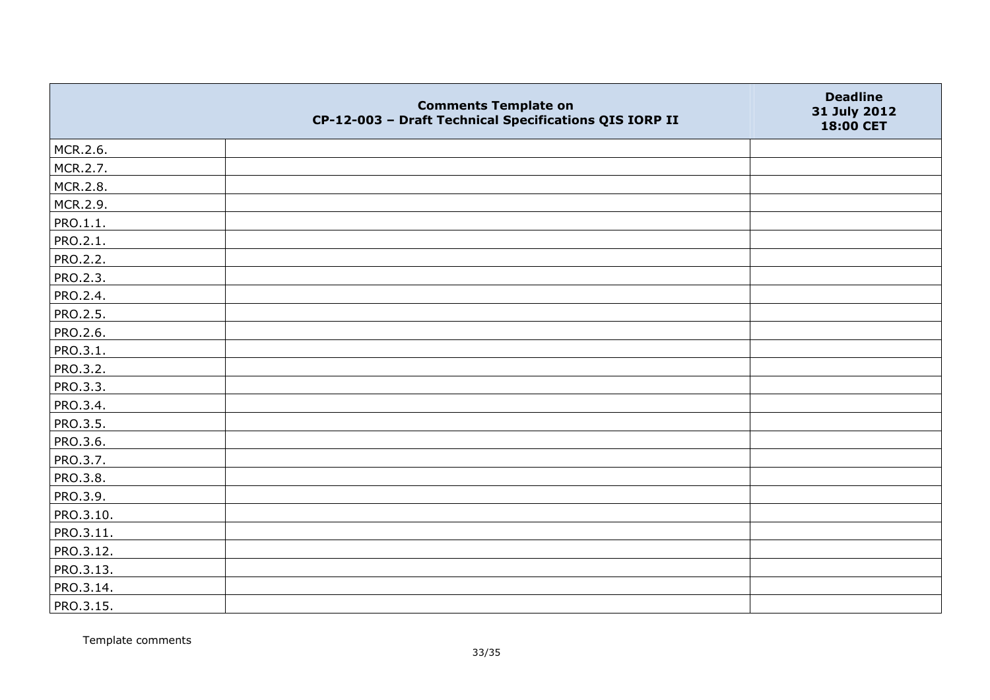|                 | <b>Comments Template on</b><br>CP-12-003 - Draft Technical Specifications QIS IORP II | <b>Deadline</b><br>31 July 2012<br>18:00 CET |
|-----------------|---------------------------------------------------------------------------------------|----------------------------------------------|
| MCR.2.6.        |                                                                                       |                                              |
| MCR.2.7.        |                                                                                       |                                              |
| MCR.2.8.        |                                                                                       |                                              |
| MCR.2.9.        |                                                                                       |                                              |
| PRO.1.1.        |                                                                                       |                                              |
| <b>PRO.2.1.</b> |                                                                                       |                                              |
| <b>PRO.2.2.</b> |                                                                                       |                                              |
| PRO.2.3.        |                                                                                       |                                              |
| PRO.2.4.        |                                                                                       |                                              |
| PRO.2.5.        |                                                                                       |                                              |
| <b>PRO.2.6.</b> |                                                                                       |                                              |
| PRO.3.1.        |                                                                                       |                                              |
| PRO.3.2.        |                                                                                       |                                              |
| PRO.3.3.        |                                                                                       |                                              |
| PRO.3.4.        |                                                                                       |                                              |
| PRO.3.5.        |                                                                                       |                                              |
| PRO.3.6.        |                                                                                       |                                              |
| PRO.3.7.        |                                                                                       |                                              |
| PRO.3.8.        |                                                                                       |                                              |
| PRO.3.9.        |                                                                                       |                                              |
| PRO.3.10.       |                                                                                       |                                              |
| PRO.3.11.       |                                                                                       |                                              |
| PRO.3.12.       |                                                                                       |                                              |
| PRO.3.13.       |                                                                                       |                                              |
| PRO.3.14.       |                                                                                       |                                              |
| PRO.3.15.       |                                                                                       |                                              |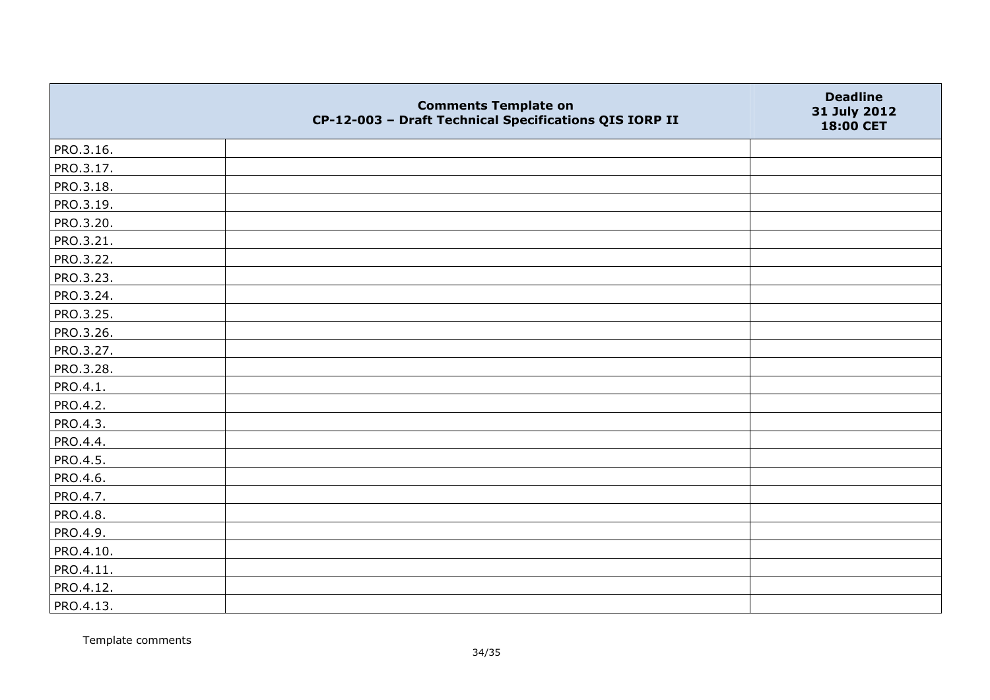|           | <b>Comments Template on</b><br>CP-12-003 - Draft Technical Specifications QIS IORP II | <b>Deadline</b><br>31 July 2012<br>18:00 CET |
|-----------|---------------------------------------------------------------------------------------|----------------------------------------------|
| PRO.3.16. |                                                                                       |                                              |
| PRO.3.17. |                                                                                       |                                              |
| PRO.3.18. |                                                                                       |                                              |
| PRO.3.19. |                                                                                       |                                              |
| PRO.3.20. |                                                                                       |                                              |
| PRO.3.21. |                                                                                       |                                              |
| PRO.3.22. |                                                                                       |                                              |
| PRO.3.23. |                                                                                       |                                              |
| PRO.3.24. |                                                                                       |                                              |
| PRO.3.25. |                                                                                       |                                              |
| PRO.3.26. |                                                                                       |                                              |
| PRO.3.27. |                                                                                       |                                              |
| PRO.3.28. |                                                                                       |                                              |
| PRO.4.1.  |                                                                                       |                                              |
| PRO.4.2.  |                                                                                       |                                              |
| PRO.4.3.  |                                                                                       |                                              |
| PRO.4.4.  |                                                                                       |                                              |
| PRO.4.5.  |                                                                                       |                                              |
| PRO.4.6.  |                                                                                       |                                              |
| PRO.4.7.  |                                                                                       |                                              |
| PRO.4.8.  |                                                                                       |                                              |
| PRO.4.9.  |                                                                                       |                                              |
| PRO.4.10. |                                                                                       |                                              |
| PRO.4.11. |                                                                                       |                                              |
| PRO.4.12. |                                                                                       |                                              |
| PRO.4.13. |                                                                                       |                                              |